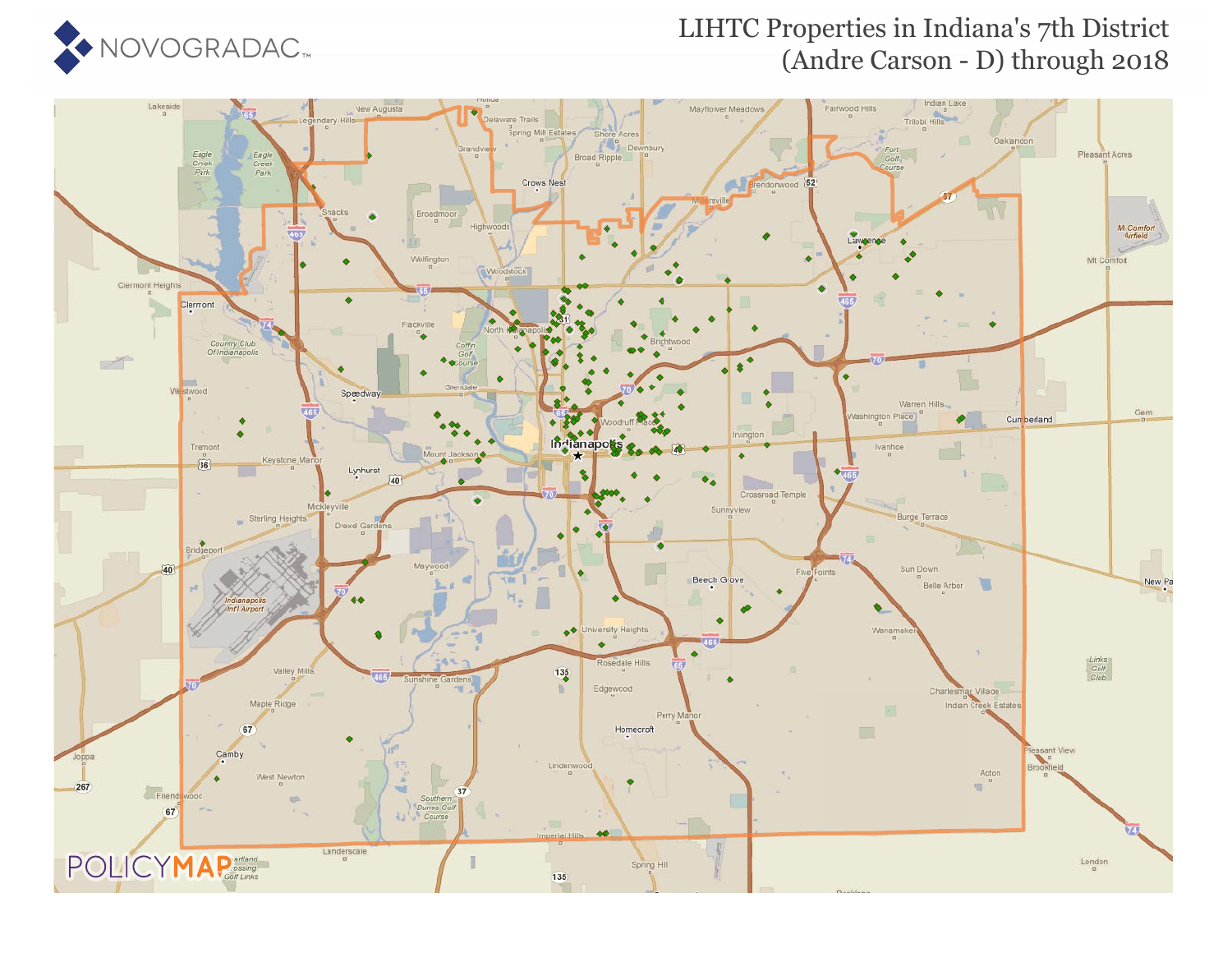

### LIHTC Properties in Indiana's 7th District (Andre Carson - D) through 2018

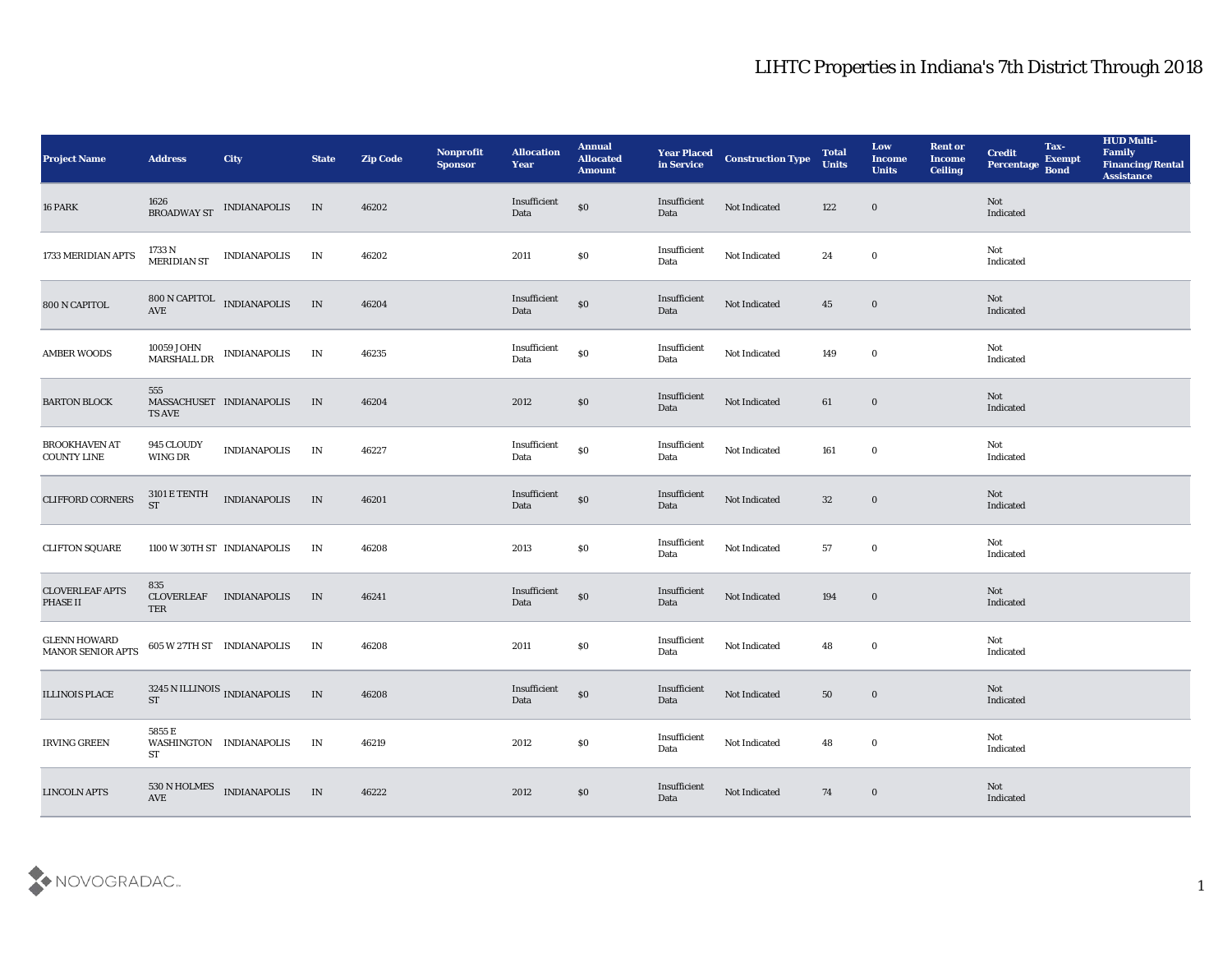| <b>Project Name</b>                             | <b>Address</b>                        | City                                                                                                                                   | <b>State</b> | <b>Zip Code</b> | Nonprofit<br><b>Sponsor</b> | <b>Allocation</b><br>Year                   | <b>Annual</b><br><b>Allocated</b><br><b>Amount</b> | <b>Year Placed<br/>in Service</b> | <b>Construction Type</b> | <b>Total</b><br><b>Units</b> | Low<br><b>Income</b><br><b>Units</b> | <b>Rent or</b><br><b>Income</b><br><b>Ceiling</b> | <b>Credit</b><br>Percentage       | Tax-<br><b>Exempt</b><br><b>Bond</b> | <b>HUD Multi-</b><br>Family<br><b>Financing/Rental</b><br><b>Assistance</b> |
|-------------------------------------------------|---------------------------------------|----------------------------------------------------------------------------------------------------------------------------------------|--------------|-----------------|-----------------------------|---------------------------------------------|----------------------------------------------------|-----------------------------------|--------------------------|------------------------------|--------------------------------------|---------------------------------------------------|-----------------------------------|--------------------------------------|-----------------------------------------------------------------------------|
| 16 PARK                                         |                                       | $1626$ BROADWAY ST $\quad$ INDIANAPOLIS $\quad$ IN                                                                                     |              | 46202           |                             | Insufficient<br>Data                        | $\$0$                                              | Insufficient<br>Data              | Not Indicated            | 122                          | $\bf{0}$                             |                                                   | Not<br>Indicated                  |                                      |                                                                             |
| 1733 MERIDIAN APTS                              | 1733 N<br>MERIDIAN ST                 | <b>INDIANAPOLIS</b>                                                                                                                    | IN           | 46202           |                             | 2011                                        | \$0                                                | Insufficient<br>Data              | Not Indicated            | 24                           | $\bf{0}$                             |                                                   | Not<br>Indicated                  |                                      |                                                                             |
| 800 N CAPITOL                                   | AVE                                   | 800 N CAPITOL INDIANAPOLIS                                                                                                             | IN           | 46204           |                             | Insufficient<br>Data                        | $\$0$                                              | Insufficient<br>Data              | Not Indicated            | 45                           | $\bf{0}$                             |                                                   | Not<br>Indicated                  |                                      |                                                                             |
| <b>AMBER WOODS</b>                              |                                       | $\begin{array}{ll} \textbf{10059}\ \textbf{JOHN} & \textbf{INDIANAPOLIS} \\ \textbf{MARSHALL\ DR} & \textbf{INDIANAPOLIS} \end{array}$ | IN           | 46235           |                             | $\label{lem:optimal} In sufficient$<br>Data | $\$0$                                              | Insufficient<br>Data              | Not Indicated            | 149                          | $\bf{0}$                             |                                                   | Not<br>Indicated                  |                                      |                                                                             |
| <b>BARTON BLOCK</b>                             | 555<br><b>TS AVE</b>                  | MASSACHUSET INDIANAPOLIS                                                                                                               | IN           | 46204           |                             | 2012                                        | $\$0$                                              | Insufficient<br>Data              | Not Indicated            | 61                           | $\bf{0}$                             |                                                   | Not<br>Indicated                  |                                      |                                                                             |
| <b>BROOKHAVEN AT</b><br><b>COUNTY LINE</b>      | 945 CLOUDY<br>WING DR                 | <b>INDIANAPOLIS</b>                                                                                                                    | IN           | 46227           |                             | Insufficient<br>Data                        | $\$0$                                              | Insufficient<br>Data              | Not Indicated            | 161                          | $\bf{0}$                             |                                                   | Not<br>Indicated                  |                                      |                                                                             |
| <b>CLIFFORD CORNERS</b>                         | $3101\to \mathrm{TENTH}$<br><b>ST</b> | <b>INDIANAPOLIS</b>                                                                                                                    | IN           | 46201           |                             | Insufficient<br>Data                        | $\$0$                                              | Insufficient<br>Data              | Not Indicated            | 32                           | $\bf{0}$                             |                                                   | Not<br>Indicated                  |                                      |                                                                             |
| <b>CLIFTON SQUARE</b>                           |                                       | 1100 W 30TH ST INDIANAPOLIS                                                                                                            | IN           | 46208           |                             | 2013                                        | \$0                                                | Insufficient<br>Data              | Not Indicated            | 57                           | $\bf{0}$                             |                                                   | Not<br>Indicated                  |                                      |                                                                             |
| <b>CLOVERLEAF APTS</b><br>PHASE II              | 835<br>CLOVERLEAF<br>TER              | <b>INDIANAPOLIS</b>                                                                                                                    | IN           | 46241           |                             | Insufficient<br>Data                        | $\$0$                                              | Insufficient<br>Data              | Not Indicated            | 194                          | $\bf{0}$                             |                                                   | Not<br>Indicated                  |                                      |                                                                             |
| <b>GLENN HOWARD</b><br><b>MANOR SENIOR APTS</b> |                                       | 605 W 27TH ST INDIANAPOLIS                                                                                                             | IN           | 46208           |                             | 2011                                        | $\$0$                                              | Insufficient<br>Data              | Not Indicated            | 48                           | $\bf{0}$                             |                                                   | Not<br>$\operatorname{Indicated}$ |                                      |                                                                             |
| <b>ILLINOIS PLACE</b>                           | <b>ST</b>                             | $3245$ N ILLINOIS $_{\hbox{INDIANAPOLIS}}$                                                                                             | IN           | 46208           |                             | Insufficient<br>Data                        | $\$0$                                              | Insufficient<br>Data              | Not Indicated            | 50                           | $\bf{0}$                             |                                                   | Not<br>Indicated                  |                                      |                                                                             |
| <b>IRVING GREEN</b>                             | 5855 E<br>ST                          | WASHINGTON INDIANAPOLIS                                                                                                                | IN           | 46219           |                             | 2012                                        | $\$0$                                              | Insufficient<br>Data              | Not Indicated            | 48                           | $\bf{0}$                             |                                                   | Not<br>Indicated                  |                                      |                                                                             |
| <b>LINCOLN APTS</b>                             | $530$ N HOLMES AVE                    | <b>INDIANAPOLIS</b>                                                                                                                    | IN           | 46222           |                             | 2012                                        | $\$0$                                              | Insufficient<br>Data              | Not Indicated            | 74                           | $\bf{0}$                             |                                                   | Not<br>Indicated                  |                                      |                                                                             |

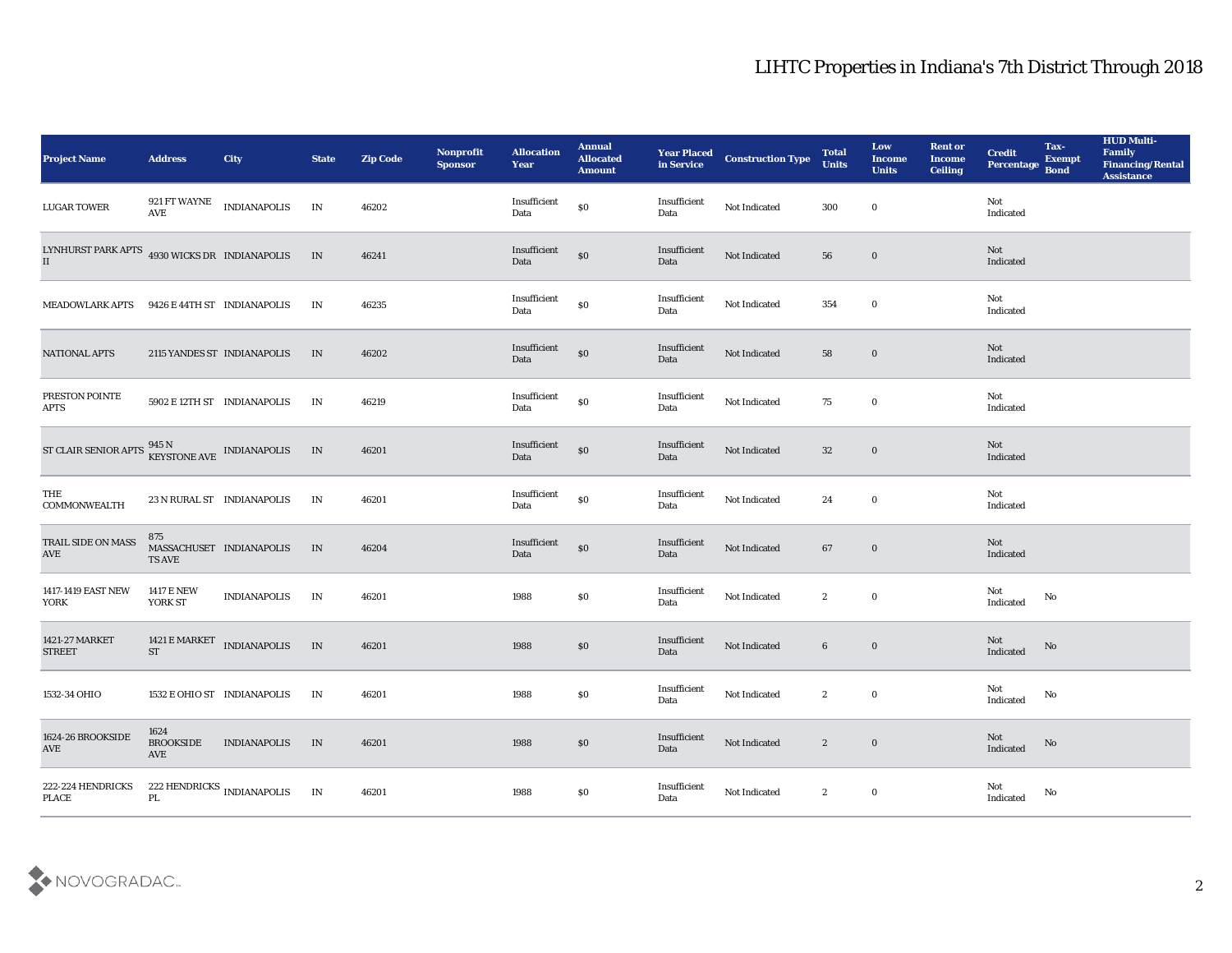| <b>Project Name</b>                                                                  | <b>Address</b>                      | <b>City</b>                                   | <b>State</b> | <b>Zip Code</b> | Nonprofit<br><b>Sponsor</b> | <b>Allocation</b><br>Year | <b>Annual</b><br><b>Allocated</b><br><b>Amount</b> | <b>Year Placed</b><br>in Service | <b>Construction Type</b> | <b>Total</b><br><b>Units</b> | Low<br><b>Income</b><br><b>Units</b> | <b>Rent or</b><br><b>Income</b><br><b>Ceiling</b> | <b>Credit</b><br>Percentage Bond                       | Tax-<br><b>Exempt</b> | <b>HUD Multi-</b><br>Family<br><b>Financing/Rental</b><br><b>Assistance</b> |
|--------------------------------------------------------------------------------------|-------------------------------------|-----------------------------------------------|--------------|-----------------|-----------------------------|---------------------------|----------------------------------------------------|----------------------------------|--------------------------|------------------------------|--------------------------------------|---------------------------------------------------|--------------------------------------------------------|-----------------------|-----------------------------------------------------------------------------|
| <b>LUGAR TOWER</b>                                                                   |                                     | $921\,\mathrm{FT}$ WAYNE $$\tt INDIANAPOLIS$$ | IN           | 46202           |                             | Insufficient<br>Data      | \$0                                                | Insufficient<br>Data             | Not Indicated            | 300                          | $\bf{0}$                             |                                                   | Not<br>Indicated                                       |                       |                                                                             |
| LYNHURST PARK APTS 4930 WICKS DR INDIANAPOLIS<br>II                                  |                                     |                                               | IN           | 46241           |                             | Insufficient<br>Data      | $\$0$                                              | Insufficient<br>Data             | Not Indicated            | 56                           | $\bf{0}$                             |                                                   | Not<br>Indicated                                       |                       |                                                                             |
| <b>MEADOWLARK APTS</b>                                                               |                                     | 9426 E 44TH ST INDIANAPOLIS                   | IN           | 46235           |                             | Insufficient<br>Data      | $\boldsymbol{\mathsf{S}}\boldsymbol{\mathsf{0}}$   | Insufficient<br>Data             | Not Indicated            | 354                          | $\bf{0}$                             |                                                   | Not<br>Indicated                                       |                       |                                                                             |
| <b>NATIONAL APTS</b>                                                                 |                                     | 2115 YANDES ST INDIANAPOLIS                   | IN           | 46202           |                             | Insufficient<br>Data      | $\boldsymbol{\mathsf{S}}\boldsymbol{\mathsf{O}}$   | Insufficient<br>Data             | Not Indicated            | 58                           | $\bf{0}$                             |                                                   | Not<br>Indicated                                       |                       |                                                                             |
| PRESTON POINTE<br><b>APTS</b>                                                        |                                     | 5902 E 12TH ST INDIANAPOLIS                   | IN           | 46219           |                             | Insufficient<br>Data      | \$0                                                | Insufficient<br>Data             | Not Indicated            | 75                           | $\bf{0}$                             |                                                   | Not<br>Indicated                                       |                       |                                                                             |
| ST CLAIR SENIOR APTS $\frac{945 \text{ N}}{\text{KEYSTONE} \text{AVE}}$ INDIANAPOLIS |                                     |                                               | IN           | 46201           |                             | Insufficient<br>Data      | \$0                                                | Insufficient<br>Data             | Not Indicated            | 32                           | $\bf{0}$                             |                                                   | Not<br>Indicated                                       |                       |                                                                             |
| THE<br><b>COMMONWEALTH</b>                                                           |                                     | 23 N RURAL ST INDIANAPOLIS                    | IN           | 46201           |                             | Insufficient<br>Data      | $\$0$                                              | Insufficient<br>Data             | Not Indicated            | 24                           | $\bf{0}$                             |                                                   | Not<br>Indicated                                       |                       |                                                                             |
| TRAIL SIDE ON MASS<br>$\operatorname{AVE}$                                           | 875<br><b>TS AVE</b>                | MASSACHUSET INDIANAPOLIS                      | IN           | 46204           |                             | Insufficient<br>Data      | \$0                                                | Insufficient<br>Data             | Not Indicated            | 67                           | $\bf{0}$                             |                                                   | Not<br>Indicated                                       |                       |                                                                             |
| 1417-1419 EAST NEW<br>YORK                                                           | <b>1417 E NEW</b><br>YORK ST        | <b>INDIANAPOLIS</b>                           | IN           | 46201           |                             | 1988                      | \$0                                                | Insufficient<br>Data             | Not Indicated            | $\boldsymbol{2}$             | $\bf{0}$                             |                                                   | Not<br>Indicated                                       | No                    |                                                                             |
| 1421-27 MARKET<br><b>STREET</b>                                                      | 1421 E MARKET<br>$\sqrt{\text{ST}}$ | <b>INDIANAPOLIS</b>                           | $\;$ IN      | 46201           |                             | 1988                      | $\$0$                                              | Insufficient<br>Data             | Not Indicated            | $6\phantom{.0}$              | $\bf{0}$                             |                                                   | Not<br>Indicated                                       | No                    |                                                                             |
| 1532-34 OHIO                                                                         |                                     | 1532 E OHIO ST INDIANAPOLIS                   | IN           | 46201           |                             | 1988                      | $\$0$                                              | Insufficient<br>Data             | Not Indicated            | $\mathbf{2}$                 | $\bf{0}$                             |                                                   | Not<br>$\operatorname{Indicated}$                      | No                    |                                                                             |
| 1624-26 BROOKSIDE<br>$\operatorname{\mathsf{AVE}}$                                   | 1624<br><b>BROOKSIDE</b><br>AVE     | <b>INDIANAPOLIS</b>                           | IN           | 46201           |                             | 1988                      | $\$0$                                              | Insufficient<br>Data             | Not Indicated            | $\mathbf{2}$                 | $\mathbf 0$                          |                                                   | $\operatorname{\bf Not}$<br>$\operatorname{Indicated}$ | $\rm \bf No$          |                                                                             |
| 222-224 HENDRICKS<br>$\ensuremath{\mathsf{PLACE}}$                                   | $\mathbf{PL}$                       | 222 HENDRICKS $_{\rm INDIANAPOLIS}$           | IN           | 46201           |                             | 1988                      | $\$0$                                              | Insufficient<br>Data             | Not Indicated            | $\boldsymbol{2}$             | $\mathbf 0$                          |                                                   | Not<br>Indicated                                       | $\mathbf {No}$        |                                                                             |

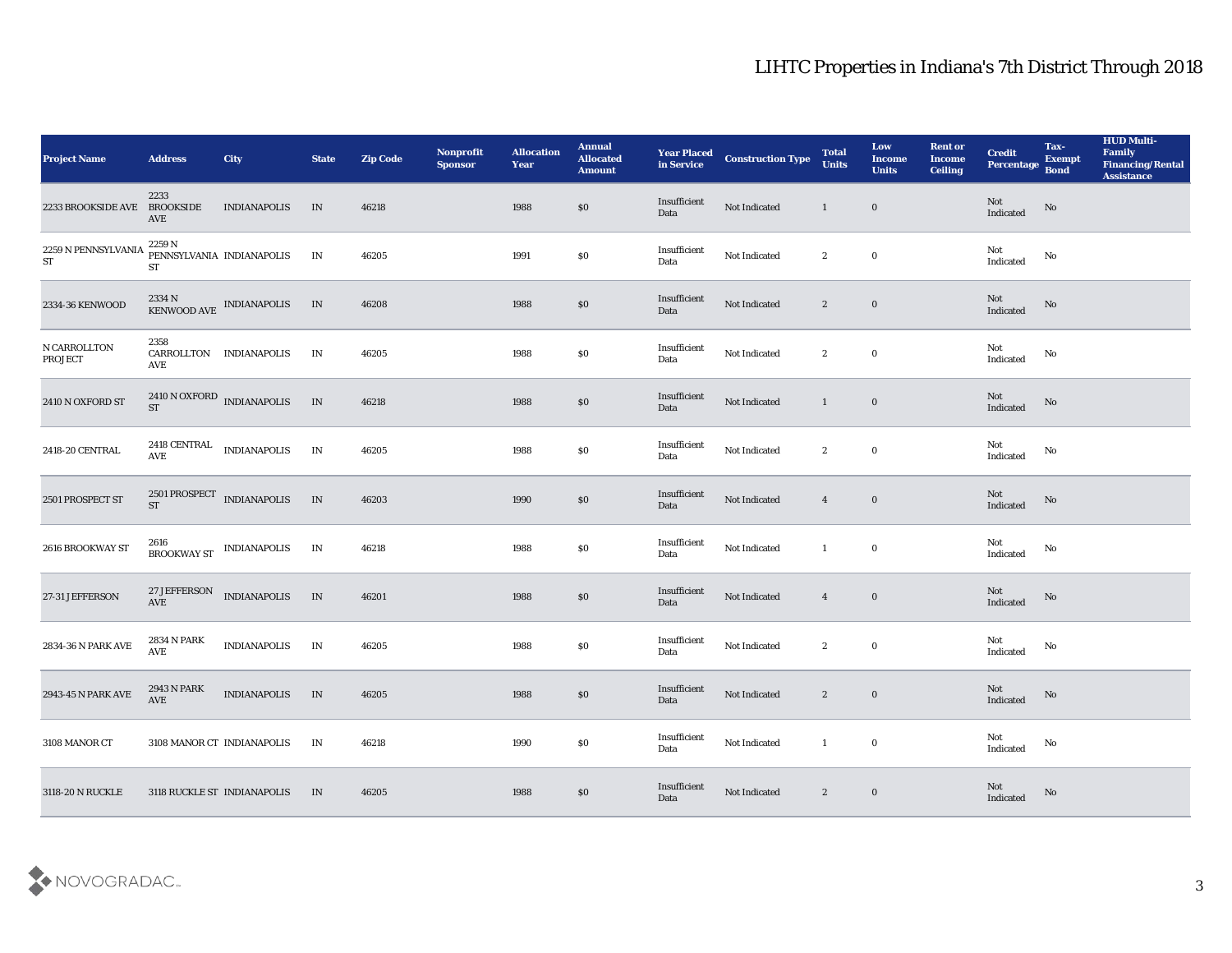| <b>Project Name</b>              | <b>Address</b>                               | <b>City</b>                                                    | <b>State</b> | <b>Zip Code</b> | Nonprofit<br><b>Sponsor</b> | <b>Allocation</b><br><b>Year</b> | <b>Annual</b><br><b>Allocated</b><br><b>Amount</b> | <b>Year Placed<br/>in Service</b> | <b>Construction Type</b> | <b>Total</b><br><b>Units</b> | Low<br><b>Income</b><br><b>Units</b> | <b>Rent or</b><br><b>Income</b><br><b>Ceiling</b> | <b>Credit</b><br>Percentage | Tax-<br><b>Exempt</b><br><b>Bond</b> | <b>HUD Multi-</b><br>Family<br><b>Financing/Rental</b><br><b>Assistance</b> |
|----------------------------------|----------------------------------------------|----------------------------------------------------------------|--------------|-----------------|-----------------------------|----------------------------------|----------------------------------------------------|-----------------------------------|--------------------------|------------------------------|--------------------------------------|---------------------------------------------------|-----------------------------|--------------------------------------|-----------------------------------------------------------------------------|
| 2233 BROOKSIDE AVE BROOKSIDE     | 2233<br>AVE                                  | <b>INDIANAPOLIS</b>                                            | IN           | 46218           |                             | 1988                             | $\$0$                                              | Insufficient<br>Data              | Not Indicated            | $\mathbf{1}$                 | $\bf{0}$                             |                                                   | Not<br>Indicated            | No                                   |                                                                             |
| $2259$ N PENNSYLVANIA ${\rm ST}$ | 2259 N<br><b>ST</b>                          | PENNSYLVANIA INDIANAPOLIS                                      | IN           | 46205           |                             | 1991                             | $\$0$                                              | Insufficient<br>Data              | Not Indicated            | $\mathbf{2}$                 | $\bf{0}$                             |                                                   | Not<br>Indicated            | No                                   |                                                                             |
| 2334-36 KENWOOD                  |                                              | $2334$ N $$\,{\rm KENWOOD\,AVE}$$ INDIANAPOLIS $$\,{\rm IN}\,$ |              | 46208           |                             | 1988                             | $\$0$                                              | Insufficient<br>Data              | Not Indicated            | $\mathbf{2}$                 | $\mathbf 0$                          |                                                   | Not<br>Indicated            | $\rm\thinspace No$                   |                                                                             |
| N CARROLLTON<br>PROJECT          | 2358<br>AVE                                  | CARROLLTON INDIANAPOLIS                                        | IN           | 46205           |                             | 1988                             | \$0                                                | Insufficient<br>Data              | Not Indicated            | $\mathbf{2}$                 | $\bf{0}$                             |                                                   | Not<br>Indicated            | No                                   |                                                                             |
| 2410 N OXFORD ST                 |                                              | $2410$ N OXFORD $$\tt INDIANAPOLIS$$                           | IN           | 46218           |                             | 1988                             | \$0                                                | Insufficient<br>Data              | Not Indicated            | $\mathbf{1}$                 | $\bf{0}$                             |                                                   | Not<br>Indicated            | No                                   |                                                                             |
| 2418-20 CENTRAL                  | $\operatorname{\mathbf{AVE}}$                | 2418 CENTRAL INDIANAPOLIS                                      | IN           | 46205           |                             | 1988                             | \$0                                                | Insufficient<br>Data              | Not Indicated            | $\mathbf{2}$                 | $\bf{0}$                             |                                                   | Not<br>Indicated            | No                                   |                                                                             |
| 2501 PROSPECT ST                 | <b>ST</b>                                    | 2501 PROSPECT INDIANAPOLIS                                     | IN           | 46203           |                             | 1990                             | $\$0$                                              | Insufficient<br>Data              | Not Indicated            | $\overline{4}$               | $\mathbf 0$                          |                                                   | Not<br>Indicated            | No                                   |                                                                             |
| 2616 BROOKWAY ST                 | 2616                                         | BROOKWAY ST INDIANAPOLIS                                       | IN           | 46218           |                             | 1988                             | \$0                                                | Insufficient<br>Data              | Not Indicated            | -1                           | $\bf{0}$                             |                                                   | Not<br>Indicated            | No                                   |                                                                             |
| 27-31 JEFFERSON                  | AVE                                          | 27 JEFFERSON INDIANAPOLIS                                      | IN           | 46201           |                             | 1988                             | \$0                                                | Insufficient<br>Data              | Not Indicated            | $\overline{4}$               | $\bf{0}$                             |                                                   | Not<br>Indicated            | No                                   |                                                                             |
| 2834-36 N PARK AVE               | 2834 N PARK<br>$\operatorname{\mathbf{AVE}}$ | <b>INDIANAPOLIS</b>                                            | IN           | 46205           |                             | 1988                             | \$0                                                | Insufficient<br>Data              | Not Indicated            | $\mathbf{2}$                 | $\bf{0}$                             |                                                   | Not<br>Indicated            | No                                   |                                                                             |
| 2943-45 N PARK AVE               | 2943 N PARK<br>$\operatorname{AVE}$          | <b>INDIANAPOLIS</b>                                            | IN           | 46205           |                             | 1988                             | \$0                                                | Insufficient<br>Data              | Not Indicated            | $\mathbf{2}$                 | $\bf{0}$                             |                                                   | Not<br>Indicated            | No                                   |                                                                             |
| 3108 MANOR CT                    |                                              | 3108 MANOR CT INDIANAPOLIS                                     | IN           | 46218           |                             | 1990                             | $\$0$                                              | Insufficient<br>Data              | Not Indicated            | -1                           | $\mathbf 0$                          |                                                   | Not<br>Indicated            | $\mathbf {No}$                       |                                                                             |
| 3118-20 N RUCKLE                 |                                              | 3118 RUCKLE ST INDIANAPOLIS                                    | IN           | 46205           |                             | 1988                             | $\$0$                                              | Insufficient<br>Data              | Not Indicated            | $\mathbf{2}$                 | $\bf{0}$                             |                                                   | Not<br>Indicated            | $\rm\thinspace No$                   |                                                                             |

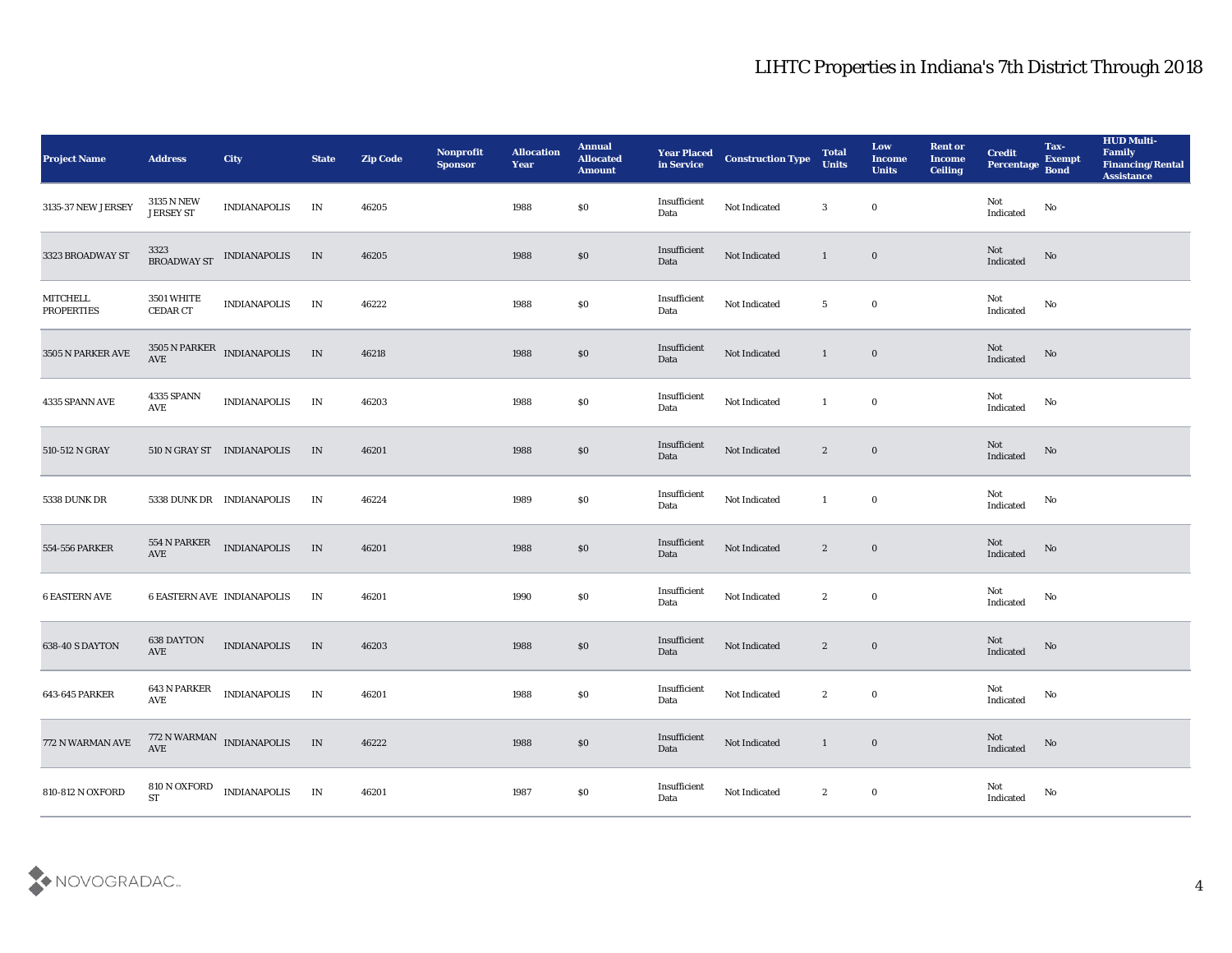| <b>Project Name</b>           | <b>Address</b>                 | <b>City</b>                                   | <b>State</b> | <b>Zip Code</b> | Nonprofit<br><b>Sponsor</b> | <b>Allocation</b><br><b>Year</b> | <b>Annual</b><br><b>Allocated</b><br><b>Amount</b> | <b>Year Placed<br/>in Service</b> | <b>Construction Type</b> | <b>Total</b><br><b>Units</b> | Low<br><b>Income</b><br><b>Units</b> | <b>Rent or</b><br><b>Income</b><br><b>Ceiling</b> | <b>Credit</b><br>Percentage           | Tax-<br><b>Exempt</b><br><b>Bond</b> | <b>HUD Multi-</b><br>Family<br><b>Financing/Rental</b><br><b>Assistance</b> |
|-------------------------------|--------------------------------|-----------------------------------------------|--------------|-----------------|-----------------------------|----------------------------------|----------------------------------------------------|-----------------------------------|--------------------------|------------------------------|--------------------------------------|---------------------------------------------------|---------------------------------------|--------------------------------------|-----------------------------------------------------------------------------|
| 3135-37 NEW JERSEY            | 3135 N NEW<br><b>JERSEY ST</b> | <b>INDIANAPOLIS</b>                           | IN           | 46205           |                             | 1988                             | $\boldsymbol{\mathsf{S}}\boldsymbol{\mathsf{0}}$   | Insufficient<br>Data              | Not Indicated            | 3                            | $\bf{0}$                             |                                                   | Not<br>Indicated                      | No                                   |                                                                             |
| 3323 BROADWAY ST              |                                | $3323 \newline$ BROADWAY ST $\;$ INDIANAPOLIS | IN           | 46205           |                             | 1988                             | $\$0$                                              | Insufficient<br>Data              | Not Indicated            | $\mathbf{1}$                 | $\bf{0}$                             |                                                   | Not<br>Indicated                      | $\mathbf{N}\mathbf{o}$               |                                                                             |
| MITCHELL<br><b>PROPERTIES</b> | 3501 WHITE<br><b>CEDAR CT</b>  | <b>INDIANAPOLIS</b>                           | IN           | 46222           |                             | 1988                             | \$0                                                | Insufficient<br>Data              | Not Indicated            | $5\phantom{.0}$              | $\bf{0}$                             |                                                   | Not<br>Indicated                      | No                                   |                                                                             |
| 3505 N PARKER AVE             | $\operatorname{AVE}$           | 3505 N PARKER INDIANAPOLIS                    | $\;$ IN      | 46218           |                             | 1988                             | \$0                                                | Insufficient<br>Data              | Not Indicated            | $\mathbf{1}$                 | $\bf{0}$                             |                                                   | Not<br>Indicated                      | No                                   |                                                                             |
| 4335 SPANN AVE                | 4335 SPANN<br>AVE              | <b>INDIANAPOLIS</b>                           | IN           | 46203           |                             | 1988                             | $\boldsymbol{\mathsf{S}}\boldsymbol{\mathsf{0}}$   | Insufficient<br>Data              | Not Indicated            | $\mathbf{1}$                 | $\bf{0}$                             |                                                   | Not<br>Indicated                      | No                                   |                                                                             |
| 510-512 N GRAY                |                                | 510 N GRAY ST INDIANAPOLIS                    | IN           | 46201           |                             | 1988                             | \$0                                                | Insufficient<br>Data              | Not Indicated            | $\mathbf{2}$                 | $\bf{0}$                             |                                                   | Not<br>Indicated                      | No                                   |                                                                             |
| 5338 DUNK DR                  |                                | 5338 DUNK DR INDIANAPOLIS                     | IN           | 46224           |                             | 1989                             | $\$0$                                              | Insufficient<br>Data              | Not Indicated            | $\mathbf{1}$                 | $\bf{0}$                             |                                                   | Not<br>Indicated                      | No                                   |                                                                             |
| 554-556 PARKER                | 554 N PARKER<br>AVE            | <b>INDIANAPOLIS</b>                           | IN           | 46201           |                             | 1988                             | $\$0$                                              | Insufficient<br>Data              | Not Indicated            | $\mathbf{2}$                 | $\bf{0}$                             |                                                   | Not<br>Indicated                      | No                                   |                                                                             |
| <b>6 EASTERN AVE</b>          |                                | <b>6 EASTERN AVE INDIANAPOLIS</b>             | IN           | 46201           |                             | 1990                             | \$0                                                | Insufficient<br>Data              | Not Indicated            | $\mathbf{2}$                 | $\bf{0}$                             |                                                   | Not<br>Indicated                      | No                                   |                                                                             |
| 638-40 S DAYTON               | 638 DAYTON<br>AVE              | <b>INDIANAPOLIS</b>                           | IN           | 46203           |                             | 1988                             | \$0                                                | Insufficient<br>Data              | Not Indicated            | $\mathbf{2}$                 | $\bf{0}$                             |                                                   | Not<br>Indicated                      | $\mathbf {No}$                       |                                                                             |
| 643-645 PARKER                | 643 N PARKER<br>AVE            | <b>INDIANAPOLIS</b>                           | IN           | 46201           |                             | 1988                             | \$0                                                | Insufficient<br>Data              | Not Indicated            | $\mathbf{2}$                 | $\bf{0}$                             |                                                   | Not<br>Indicated                      | No                                   |                                                                             |
| 772 N WARMAN AVE              | AVE                            | 772 N WARMAN INDIANAPOLIS                     | IN           | 46222           |                             | 1988                             | $\$0$                                              | Insufficient<br>Data              | Not Indicated            | 1                            | $\mathbf 0$                          |                                                   | $\operatorname{\bf Not}$<br>Indicated | $\mathbf{N}\mathbf{o}$               |                                                                             |
| 810-812 N OXFORD              | 810 N OXFORD<br>${\rm ST}$     | <b>INDIANAPOLIS</b>                           | IN           | 46201           |                             | 1987                             | $\$0$                                              | Insufficient<br>Data              | Not Indicated            | $\mathbf{2}$                 | $\boldsymbol{0}$                     |                                                   | Not<br>Indicated                      | $\mathbf {No}$                       |                                                                             |

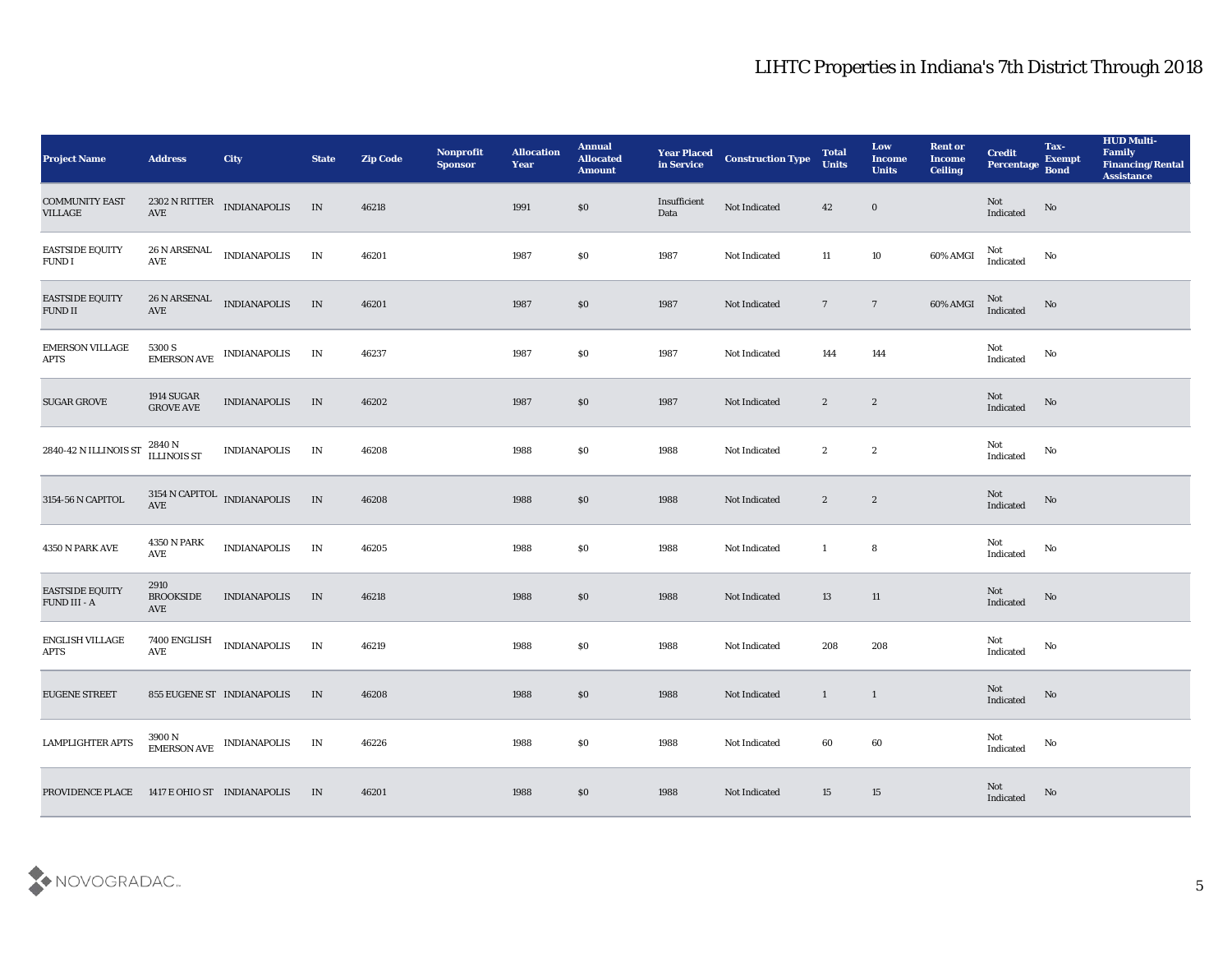| <b>Project Name</b>                      | <b>Address</b>                         | City                                                             | <b>State</b>  | <b>Zip Code</b> | Nonprofit<br><b>Sponsor</b> | <b>Allocation</b><br><b>Year</b> | <b>Annual</b><br><b>Allocated</b><br><b>Amount</b> | <b>Year Placed<br/>in Service</b> | <b>Construction Type</b> | <b>Total</b><br><b>Units</b> | Low<br><b>Income</b><br><b>Units</b> | <b>Rent or</b><br><b>Income</b><br><b>Ceiling</b> | <b>Credit</b><br>Percentage                       | Tax-<br><b>Exempt</b><br><b>Bond</b> | <b>HUD Multi-</b><br>Family<br><b>Financing/Rental</b><br><b>Assistance</b> |
|------------------------------------------|----------------------------------------|------------------------------------------------------------------|---------------|-----------------|-----------------------------|----------------------------------|----------------------------------------------------|-----------------------------------|--------------------------|------------------------------|--------------------------------------|---------------------------------------------------|---------------------------------------------------|--------------------------------------|-----------------------------------------------------------------------------|
| <b>COMMUNITY EAST</b><br>VILLAGE         | $\operatorname{AVE}$                   | 2302 N RITTER<br>INDIANAPOLIS                                    | IN            | 46218           |                             | 1991                             | \$0                                                | Insufficient<br>Data              | Not Indicated            | 42                           | $\bf{0}$                             |                                                   | Not<br>Indicated                                  | No                                   |                                                                             |
| <b>EASTSIDE EQUITY</b><br>FUND I         | $\operatorname{AVE}$                   | 26 N ARSENAL INDIANAPOLIS                                        | $\;$ IN       | 46201           |                             | 1987                             | \$0                                                | 1987                              | Not Indicated            | 11                           | 10                                   | 60% AMGI                                          | Not<br>Indicated                                  | No                                   |                                                                             |
| <b>EASTSIDE EQUITY</b><br><b>FUND II</b> | $\operatorname{AVE}$                   | 26 N ARSENAL INDIANAPOLIS                                        | IN            | 46201           |                             | 1987                             | $\$0$                                              | 1987                              | Not Indicated            | $7\phantom{.0}$              | $7\phantom{.0}$                      | 60% AMGI                                          | Not<br>Indicated                                  | No                                   |                                                                             |
| <b>EMERSON VILLAGE</b><br><b>APTS</b>    |                                        | $5300$ S $$\tt ENDIANAPOLIS$$                                    | IN            | 46237           |                             | 1987                             | \$0                                                | 1987                              | Not Indicated            | 144                          | 144                                  |                                                   | Not<br>$\operatorname{Indicated}$                 | No                                   |                                                                             |
| <b>SUGAR GROVE</b>                       | $1914$ SUGAR $\,$<br><b>GROVE AVE</b>  | <b>INDIANAPOLIS</b>                                              | IN            | 46202           |                             | 1987                             | \$0                                                | 1987                              | Not Indicated            | $\mathbf{2}$                 | $\mathbf{2}$                         |                                                   | Not<br>Indicated                                  | No                                   |                                                                             |
| 2840-42 N ILLINOIS ST                    | 2840 N<br>ILLINOIS ST                  | <b>INDIANAPOLIS</b>                                              | $\mathbf{IN}$ | 46208           |                             | 1988                             | \$0                                                | 1988                              | Not Indicated            | $\mathbf{2}$                 | $\mathbf{2}$                         |                                                   | Not<br>Indicated                                  | No                                   |                                                                             |
| 3154-56 N CAPITOL                        | $3154$ N CAPITOL $\;$ INDIANAPOLIS AVE |                                                                  | IN            | 46208           |                             | 1988                             | $\$0$                                              | 1988                              | Not Indicated            | $\boldsymbol{2}$             | $\mathbf{2}$                         |                                                   | Not<br>$\label{thm:indicated} \textbf{Indicated}$ | $\rm \bf No$                         |                                                                             |
| 4350 N PARK AVE                          | <b>4350 N PARK</b><br>AVE              | <b>INDIANAPOLIS</b>                                              | IN            | 46205           |                             | 1988                             | \$0                                                | 1988                              | Not Indicated            | $\mathbf{1}$                 | 8                                    |                                                   | Not<br>Indicated                                  | No                                   |                                                                             |
| <b>EASTSIDE EQUITY</b><br>FUND III - A   | 2910<br><b>BROOKSIDE</b><br>AVE        | <b>INDIANAPOLIS</b>                                              | IN            | 46218           |                             | 1988                             | $\$0$                                              | 1988                              | Not Indicated            | 13                           | 11                                   |                                                   | Not<br>Indicated                                  | No                                   |                                                                             |
| ENGLISH VILLAGE<br><b>APTS</b>           | 7400 ENGLISH<br>AVE                    | <b>INDIANAPOLIS</b>                                              | IN            | 46219           |                             | 1988                             | \$0                                                | 1988                              | Not Indicated            | 208                          | 208                                  |                                                   | Not<br>Indicated                                  | No                                   |                                                                             |
| <b>EUGENE STREET</b>                     |                                        | 855 EUGENE ST INDIANAPOLIS                                       | IN            | 46208           |                             | 1988                             | \$0                                                | 1988                              | Not Indicated            | $\mathbf{1}$                 | $\mathbf{1}$                         |                                                   | Not<br>$\operatorname{Indicated}$                 | No                                   |                                                                             |
| <b>LAMPLIGHTER APTS</b>                  |                                        | $3900\,\mathrm{N}$ $$\rm \,IMDIANAPOLIS$$ $$\rm \,IMDIANAPOLIS$$ | IN            | 46226           |                             | 1988                             | $\$0$                                              | 1988                              | Not Indicated            | $\bf{60}$                    | $\bf{60}$                            |                                                   | Not<br>Indicated                                  | $\mathbf{N}\mathbf{o}$               |                                                                             |
| PROVIDENCE PLACE                         | 1417 E OHIO ST INDIANAPOLIS            |                                                                  | IN            | 46201           |                             | 1988                             | $\$0$                                              | 1988                              | Not Indicated            | 15                           | $15\,$                               |                                                   | Not<br>Indicated                                  | $\mathbf {No}$                       |                                                                             |

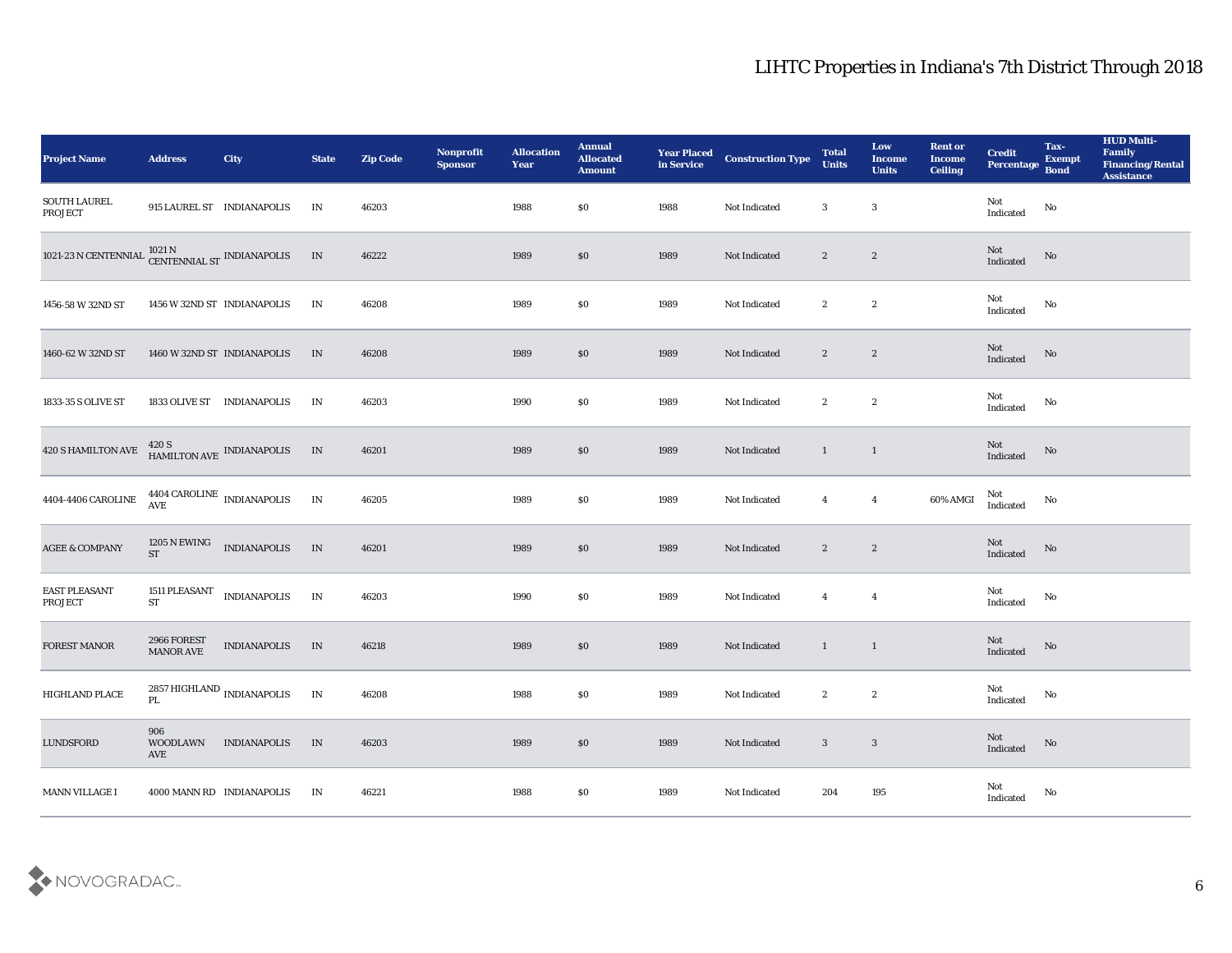| <b>Project Name</b>                    | <b>Address</b>                  | City                                                         | <b>State</b>                    | <b>Zip Code</b> | Nonprofit<br><b>Sponsor</b> | <b>Allocation</b><br><b>Year</b> | <b>Annual</b><br><b>Allocated</b><br><b>Amount</b> | <b>Year Placed</b><br>in Service | <b>Construction Type</b> | <b>Total</b><br><b>Units</b> | Low<br><b>Income</b><br><b>Units</b> | <b>Rent or</b><br><b>Income</b><br><b>Ceiling</b> | <b>Credit</b><br>Percentage Bond      | Tax-<br><b>Exempt</b> | <b>HUD Multi-</b><br>Family<br><b>Financing/Rental</b><br><b>Assistance</b> |
|----------------------------------------|---------------------------------|--------------------------------------------------------------|---------------------------------|-----------------|-----------------------------|----------------------------------|----------------------------------------------------|----------------------------------|--------------------------|------------------------------|--------------------------------------|---------------------------------------------------|---------------------------------------|-----------------------|-----------------------------------------------------------------------------|
| <b>SOUTH LAUREL</b><br>PROJECT         |                                 | 915 LAUREL ST INDIANAPOLIS                                   | IN                              | 46203           |                             | 1988                             | \$0                                                | 1988                             | Not Indicated            | 3                            | $\boldsymbol{3}$                     |                                                   | Not<br>$\operatorname{Indicated}$     | $\rm No$              |                                                                             |
| 1021-23 N CENTENNIAL                   |                                 | $1021\,\mathrm{N}$ $\,$ CENTENNIAL ST $\,$ INDIANAPOLIS $\,$ | IN                              | 46222           |                             | 1989                             | \$0                                                | 1989                             | Not Indicated            | $\mathbf{2}$                 | $\boldsymbol{2}$                     |                                                   | Not<br>Indicated                      | No                    |                                                                             |
| 1456-58 W 32ND ST                      |                                 | 1456 W 32ND ST INDIANAPOLIS                                  | IN                              | 46208           |                             | 1989                             | \$0                                                | 1989                             | Not Indicated            | $\mathbf{2}$                 | $\boldsymbol{2}$                     |                                                   | Not<br>Indicated                      | No                    |                                                                             |
| 1460-62 W 32ND ST                      |                                 | 1460 W 32ND ST INDIANAPOLIS                                  | IN                              | 46208           |                             | 1989                             | \$0                                                | 1989                             | Not Indicated            | $\mathbf{2}$                 | $\boldsymbol{2}$                     |                                                   | Not<br>Indicated                      | $\mathbf {No}$        |                                                                             |
| 1833-35 S OLIVE ST                     |                                 | 1833 OLIVE ST INDIANAPOLIS                                   | IN                              | 46203           |                             | 1990                             | \$0                                                | 1989                             | Not Indicated            | $\mathbf{2}$                 | $\mathbf{2}$                         |                                                   | Not<br>Indicated                      | No                    |                                                                             |
| 420 S HAMILTON AVE                     |                                 | 420 S<br>HAMILTON AVE INDIANAPOLIS                           | IN                              | 46201           |                             | 1989                             | \$0                                                | 1989                             | Not Indicated            | $\mathbf{1}$                 | $\mathbf{1}$                         |                                                   | Not<br>Indicated                      | No                    |                                                                             |
| 4404-4406 CAROLINE                     |                                 | $4404$ CAROLINE $\,$ INDIANAPOLIS AVE                        | $\ensuremath{\text{IN}}\xspace$ | 46205           |                             | 1989                             | \$0                                                | 1989                             | Not Indicated            | $\overline{4}$               | $\boldsymbol{4}$                     | 60% AMGI                                          | Not<br>Indicated                      | No                    |                                                                             |
| <b>AGEE &amp; COMPANY</b>              | 1205 N EWING<br><b>ST</b>       | <b>INDIANAPOLIS</b>                                          | IN                              | 46201           |                             | 1989                             | \$0                                                | 1989                             | Not Indicated            | $\mathbf{2}$                 | $\boldsymbol{2}$                     |                                                   | Not<br>Indicated                      | No                    |                                                                             |
| <b>EAST PLEASANT</b><br><b>PROJECT</b> | 1511 PLEASANT<br><b>ST</b>      | <b>INDIANAPOLIS</b>                                          | $\ensuremath{\text{IN}}$        | 46203           |                             | 1990                             | \$0                                                | 1989                             | Not Indicated            | $\overline{4}$               | $\overline{4}$                       |                                                   | Not<br>Indicated                      | No                    |                                                                             |
| <b>FOREST MANOR</b>                    | 2966 FOREST<br><b>MANOR AVE</b> | <b>INDIANAPOLIS</b>                                          | IN                              | 46218           |                             | 1989                             | \$0                                                | 1989                             | Not Indicated            | $\mathbf{1}$                 | $\mathbf{1}$                         |                                                   | Not<br>Indicated                      | No                    |                                                                             |
| HIGHLAND PLACE                         | PL                              | $2857\,\mbox{HIGHLAND}$ INDIANAPOLIS                         | IN                              | 46208           |                             | 1988                             | \$0                                                | 1989                             | Not Indicated            | $\mathbf{2}$                 | $\boldsymbol{2}$                     |                                                   | Not<br>Indicated                      | No                    |                                                                             |
| <b>LUNDSFORD</b>                       | 906<br>WOODLAWN<br>AVE          | <b>INDIANAPOLIS</b>                                          | IN                              | 46203           |                             | 1989                             | $\$0$                                              | 1989                             | Not Indicated            | $\mathbf{3}$                 | $\overline{\mathbf{3}}$              |                                                   | $\operatorname{\bf Not}$<br>Indicated | $\mathbf {No}$        |                                                                             |
| MANN VILLAGE I                         |                                 | 4000 MANN RD INDIANAPOLIS                                    | IN                              | 46221           |                             | 1988                             | \$0                                                | 1989                             | Not Indicated            | 204                          | $195\,$                              |                                                   | Not<br>Indicated                      | $\rm No$              |                                                                             |

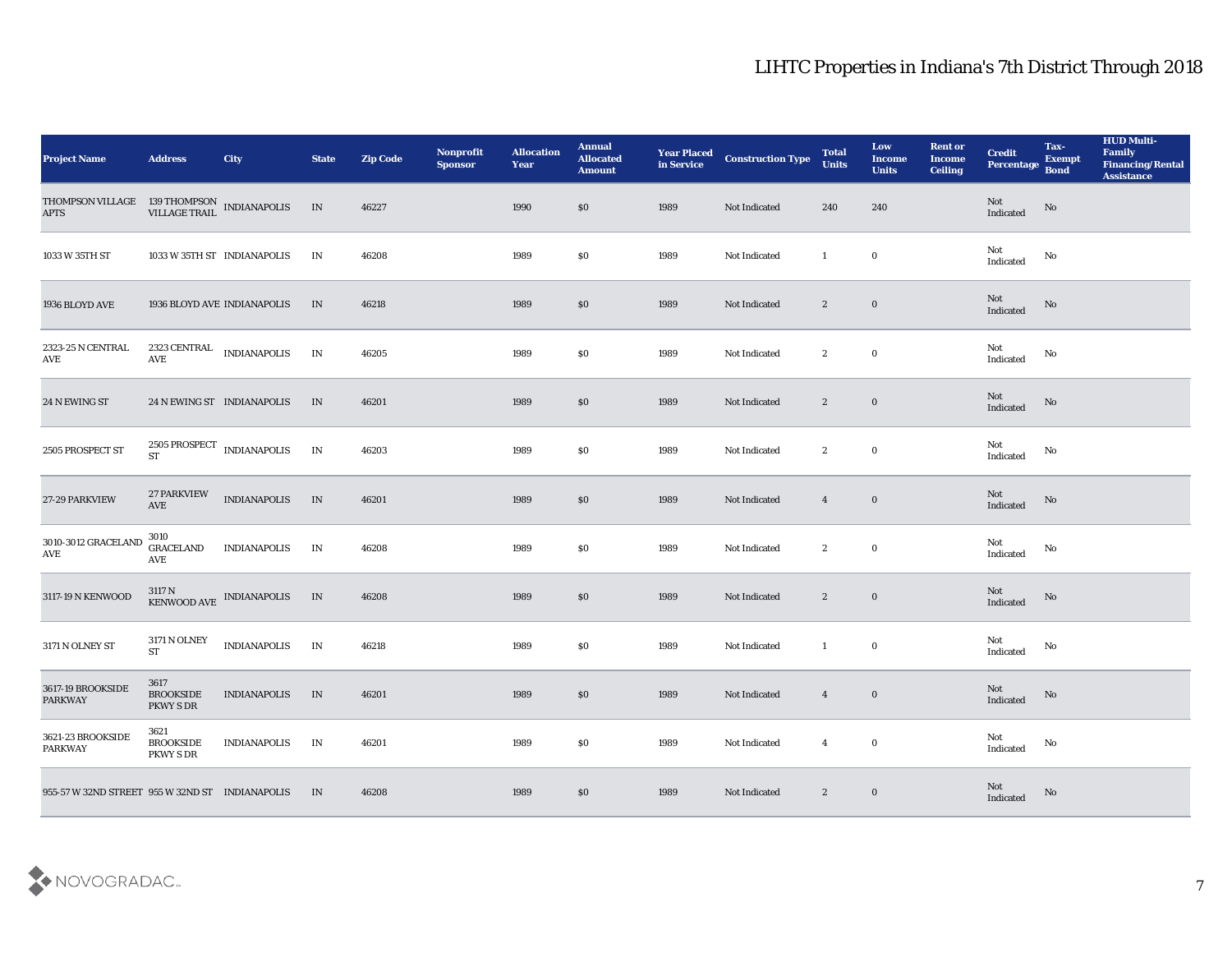| <b>Project Name</b>                                                                                                     | <b>Address</b>                        | City                                              | <b>State</b> | <b>Zip Code</b> | Nonprofit<br><b>Sponsor</b> | <b>Allocation</b><br><b>Year</b> | <b>Annual</b><br><b>Allocated</b><br><b>Amount</b> | <b>Year Placed</b><br>in Service | <b>Construction Type</b> | <b>Total</b><br><b>Units</b> | Low<br><b>Income</b><br><b>Units</b> | <b>Rent or</b><br><b>Income</b><br><b>Ceiling</b> | <b>Credit</b><br>Percentage Bond | Tax-<br><b>Exempt</b>  | <b>HUD Multi-</b><br>Family<br><b>Financing/Rental</b><br><b>Assistance</b> |
|-------------------------------------------------------------------------------------------------------------------------|---------------------------------------|---------------------------------------------------|--------------|-----------------|-----------------------------|----------------------------------|----------------------------------------------------|----------------------------------|--------------------------|------------------------------|--------------------------------------|---------------------------------------------------|----------------------------------|------------------------|-----------------------------------------------------------------------------|
| $\begin{tabular}{llll} THOMPSON VILLAGE & 139 THOMPSON & INDIANAPOLIS & IN \\ APTS & VILLAGE TRAIL & & & \end{tabular}$ |                                       |                                                   |              | 46227           |                             | 1990                             | \$0                                                | 1989                             | Not Indicated            | 240                          | 240                                  |                                                   | Not<br>Indicated                 | $\rm \bf No$           |                                                                             |
| 1033 W 35TH ST                                                                                                          |                                       | 1033 W 35TH ST INDIANAPOLIS                       | IN           | 46208           |                             | 1989                             | \$0                                                | 1989                             | Not Indicated            | -1                           | $\bf{0}$                             |                                                   | Not<br>Indicated                 | No                     |                                                                             |
| 1936 BLOYD AVE                                                                                                          |                                       | 1936 BLOYD AVE INDIANAPOLIS                       | IN           | 46218           |                             | 1989                             | \$0                                                | 1989                             | Not Indicated            | $\mathbf{2}$                 | $\bf{0}$                             |                                                   | Not<br>Indicated                 | $\mathbf{N}\mathbf{o}$ |                                                                             |
| 2323-25 N CENTRAL<br><b>AVE</b>                                                                                         | $\operatorname{AVE}$                  | $2323$ CENTRAL $\quad$ INDIANAPOLIS               | IN           | 46205           |                             | 1989                             | $\$0$                                              | 1989                             | Not Indicated            | $\mathbf{2}$                 | $\bf{0}$                             |                                                   | Not<br>Indicated                 | No                     |                                                                             |
| 24 N EWING ST                                                                                                           |                                       | 24 N EWING ST INDIANAPOLIS                        | IN           | 46201           |                             | 1989                             | \$0                                                | 1989                             | Not Indicated            | $\mathbf{2}$                 | $\bf{0}$                             |                                                   | Not<br>Indicated                 | No                     |                                                                             |
| 2505 PROSPECT ST                                                                                                        | $\operatorname{\mathbf{ST}}$          | $2505$ ${\mbox{PROSPECT}}$ INDIANAPOLIS           | IN           | 46203           |                             | 1989                             | \$0                                                | 1989                             | Not Indicated            | $\boldsymbol{2}$             | $\bf{0}$                             |                                                   | Not<br>Indicated                 | No                     |                                                                             |
| 27-29 PARKVIEW                                                                                                          | <b>27 PARKVIEW</b><br>AVE             | <b>INDIANAPOLIS</b>                               | IN           | 46201           |                             | 1989                             | \$0                                                | 1989                             | Not Indicated            | $\overline{\mathbf{4}}$      | $\bf{0}$                             |                                                   | Not<br>Indicated                 | $\mathbf{N}\mathbf{o}$ |                                                                             |
| 3010-3012 GRACELAND<br>AVE                                                                                              | 3010<br><b>GRACELAND</b><br>AVE       | <b>INDIANAPOLIS</b>                               | IN           | 46208           |                             | 1989                             | \$0                                                | 1989                             | Not Indicated            | $\mathbf{2}$                 | $\bf{0}$                             |                                                   | Not<br>Indicated                 | No                     |                                                                             |
| 3117-19 N KENWOOD                                                                                                       |                                       | $3117$ N $$\,{\rm KENWOOD\,\,AVE}\,$ INDIANAPOLIS | IN           | 46208           |                             | 1989                             | $\$0$                                              | 1989                             | Not Indicated            | $\mathbf{2}$                 | $\bf{0}$                             |                                                   | Not<br>Indicated                 | No                     |                                                                             |
| 3171 N OLNEY ST                                                                                                         | 3171 N OLNEY<br><b>ST</b>             | <b>INDIANAPOLIS</b>                               | IN           | 46218           |                             | 1989                             | \$0                                                | 1989                             | Not Indicated            | -1                           | $\bf{0}$                             |                                                   | Not<br>Indicated                 | No                     |                                                                             |
| 3617-19 BROOKSIDE<br><b>PARKWAY</b>                                                                                     | 3617<br><b>BROOKSIDE</b><br>PKWY S DR | <b>INDIANAPOLIS</b>                               | IN           | 46201           |                             | 1989                             | \$0                                                | 1989                             | Not Indicated            | $\overline{4}$               | $\bf{0}$                             |                                                   | Not<br>Indicated                 | No                     |                                                                             |
| 3621-23 BROOKSIDE<br>PARKWAY                                                                                            | 3621<br><b>BROOKSIDE</b><br>PKWY S DR | <b>INDIANAPOLIS</b>                               | IN           | 46201           |                             | 1989                             | $\$0$                                              | 1989                             | Not Indicated            | $\overline{4}$               | $\mathbf 0$                          |                                                   | $\mathbf{Not}$<br>Indicated      | $\rm\, No$             |                                                                             |
| 955-57 W 32ND STREET 955 W 32ND ST INDIANAPOLIS                                                                         |                                       |                                                   | IN           | 46208           |                             | 1989                             | $\$0$                                              | 1989                             | Not Indicated            | $\mathbf{2}$                 | $\bf{0}$                             |                                                   | Not<br>Indicated                 | $\rm No$               |                                                                             |

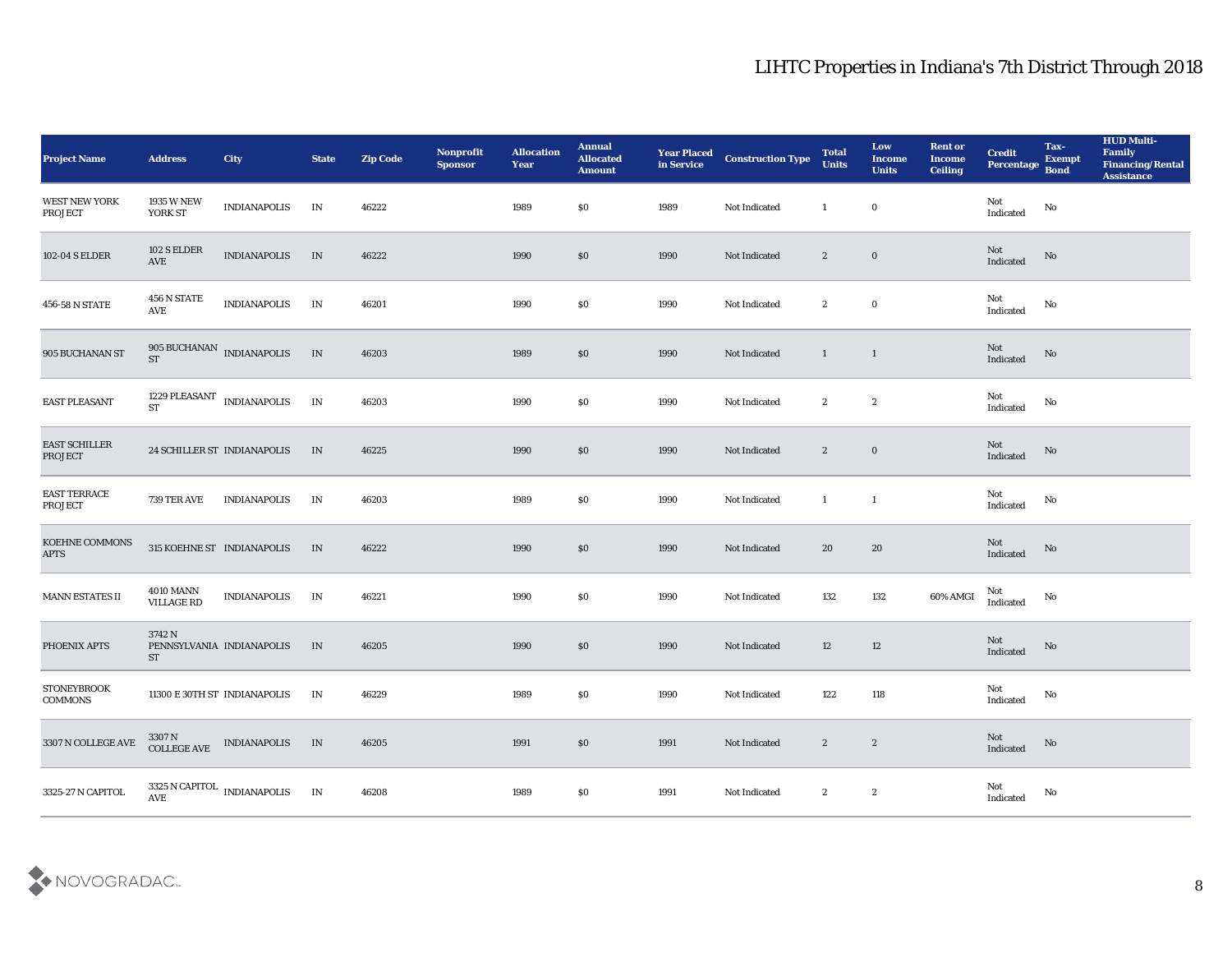| <b>Project Name</b>                  | <b>Address</b>                        | City                                                                          | <b>State</b>             | <b>Zip Code</b> | Nonprofit<br><b>Sponsor</b> | <b>Allocation</b><br><b>Year</b> | <b>Annual</b><br><b>Allocated</b><br><b>Amount</b> | <b>Year Placed</b><br>in Service | <b>Construction Type</b> | <b>Total</b><br><b>Units</b>               | Low<br><b>Income</b><br><b>Units</b> | <b>Rent or</b><br><b>Income</b><br><b>Ceiling</b> | <b>Credit</b><br>Percentage Bond      | Tax-<br><b>Exempt</b> | <b>HUD Multi-</b><br>Family<br><b>Financing/Rental</b><br><b>Assistance</b> |
|--------------------------------------|---------------------------------------|-------------------------------------------------------------------------------|--------------------------|-----------------|-----------------------------|----------------------------------|----------------------------------------------------|----------------------------------|--------------------------|--------------------------------------------|--------------------------------------|---------------------------------------------------|---------------------------------------|-----------------------|-----------------------------------------------------------------------------|
| <b>WEST NEW YORK</b><br>PROJECT      | 1935 W NEW<br>YORK ST                 | <b>INDIANAPOLIS</b>                                                           | IN                       | 46222           |                             | 1989                             | \$0                                                | 1989                             | Not Indicated            | 1                                          | $\bf{0}$                             |                                                   | Not<br>$\operatorname{Indicated}$     | $\rm No$              |                                                                             |
| 102-04 S ELDER                       | 102 S ELDER<br>AVE                    | <b>INDIANAPOLIS</b>                                                           | IN                       | 46222           |                             | 1990                             | \$0                                                | 1990                             | Not Indicated            | $\mathbf{2}$                               | $\bf{0}$                             |                                                   | Not<br>Indicated                      | No                    |                                                                             |
| 456-58 N STATE                       | 456 N STATE<br>AVE                    | <b>INDIANAPOLIS</b>                                                           | IN                       | 46201           |                             | 1990                             | \$0                                                | 1990                             | Not Indicated            | $\mathbf{2}$                               | $\bf{0}$                             |                                                   | Not<br>Indicated                      | No                    |                                                                             |
| 905 BUCHANAN ST                      | ST                                    | 905 BUCHANAN INDIANAPOLIS                                                     | IN                       | 46203           |                             | 1989                             | \$0                                                | 1990                             | Not Indicated            | $\mathbf{1}$                               | $\mathbf{1}$                         |                                                   | Not<br>Indicated                      | $\mathbf {No}$        |                                                                             |
| <b>EAST PLEASANT</b>                 | <b>ST</b>                             | 1229 PLEASANT INDIANAPOLIS                                                    | $\ensuremath{\text{IN}}$ | 46203           |                             | 1990                             | \$0                                                | 1990                             | Not Indicated            | $\mathbf{2}$                               | $\mathbf{2}$                         |                                                   | Not<br>Indicated                      | No                    |                                                                             |
| EAST SCHILLER<br><b>PROJECT</b>      |                                       | 24 SCHILLER ST INDIANAPOLIS                                                   | IN                       | 46225           |                             | 1990                             | \$0                                                | 1990                             | Not Indicated            | $\mathbf{2}$                               | $\bf{0}$                             |                                                   | Not<br>Indicated                      | No                    |                                                                             |
| <b>EAST TERRACE</b><br>PROJECT       | 739 TER AVE                           | <b>INDIANAPOLIS</b>                                                           | IN                       | 46203           |                             | 1989                             | \$0                                                | 1990                             | Not Indicated            | $\mathbf{1}$                               | 1                                    |                                                   | Not<br>Indicated                      | No                    |                                                                             |
| <b>KOEHNE COMMONS</b><br><b>APTS</b> |                                       | 315 KOEHNE ST INDIANAPOLIS                                                    | IN                       | 46222           |                             | 1990                             | $\$0$                                              | 1990                             | Not Indicated            | 20                                         | 20                                   |                                                   | Not<br>Indicated                      | No                    |                                                                             |
| MANN ESTATES II                      | <b>4010 MANN</b><br><b>VILLAGE RD</b> | <b>INDIANAPOLIS</b>                                                           | IN                       | 46221           |                             | 1990                             | \$0                                                | 1990                             | Not Indicated            | 132                                        | 132                                  | 60% AMGI                                          | Not<br>Indicated                      | No                    |                                                                             |
| PHOENIX APTS                         | 3742 N<br><b>ST</b>                   | PENNSYLVANIA INDIANAPOLIS                                                     | IN                       | 46205           |                             | 1990                             | \$0                                                | 1990                             | Not Indicated            | 12                                         | 12                                   |                                                   | Not<br>Indicated                      | No                    |                                                                             |
| <b>STONEYBROOK</b><br><b>COMMONS</b> |                                       | 11300 E 30TH ST INDIANAPOLIS                                                  | IN                       | 46229           |                             | 1989                             | \$0                                                | 1990                             | Not Indicated            | 122                                        | 118                                  |                                                   | Not<br>Indicated                      | No                    |                                                                             |
| 3307 N COLLEGE AVE                   |                                       | $3307\,\mathrm{N}$ $$\rm \,CDILGEE\,AVE$$ $$\rm \,INDIANAPOLIS$$ $$\rm \,IN$$ |                          | 46205           |                             | 1991                             | $\$0$                                              | 1991                             | Not Indicated            | $\overline{2}$<br>$\overline{\phantom{a}}$ |                                      |                                                   | $\operatorname{\bf Not}$<br>Indicated | $\rm \bf No$          |                                                                             |
| 3325-27 N CAPITOL                    |                                       | $3325$ N CAPITOL $\;$ INDIANAPOLIS AVE                                        | IN                       | 46208           |                             | 1989                             | \$0                                                | 1991                             | Not Indicated            | $\mathbf{2}$                               | $\boldsymbol{2}$                     |                                                   | Not<br>Indicated                      | $\mathbf {No}$        |                                                                             |

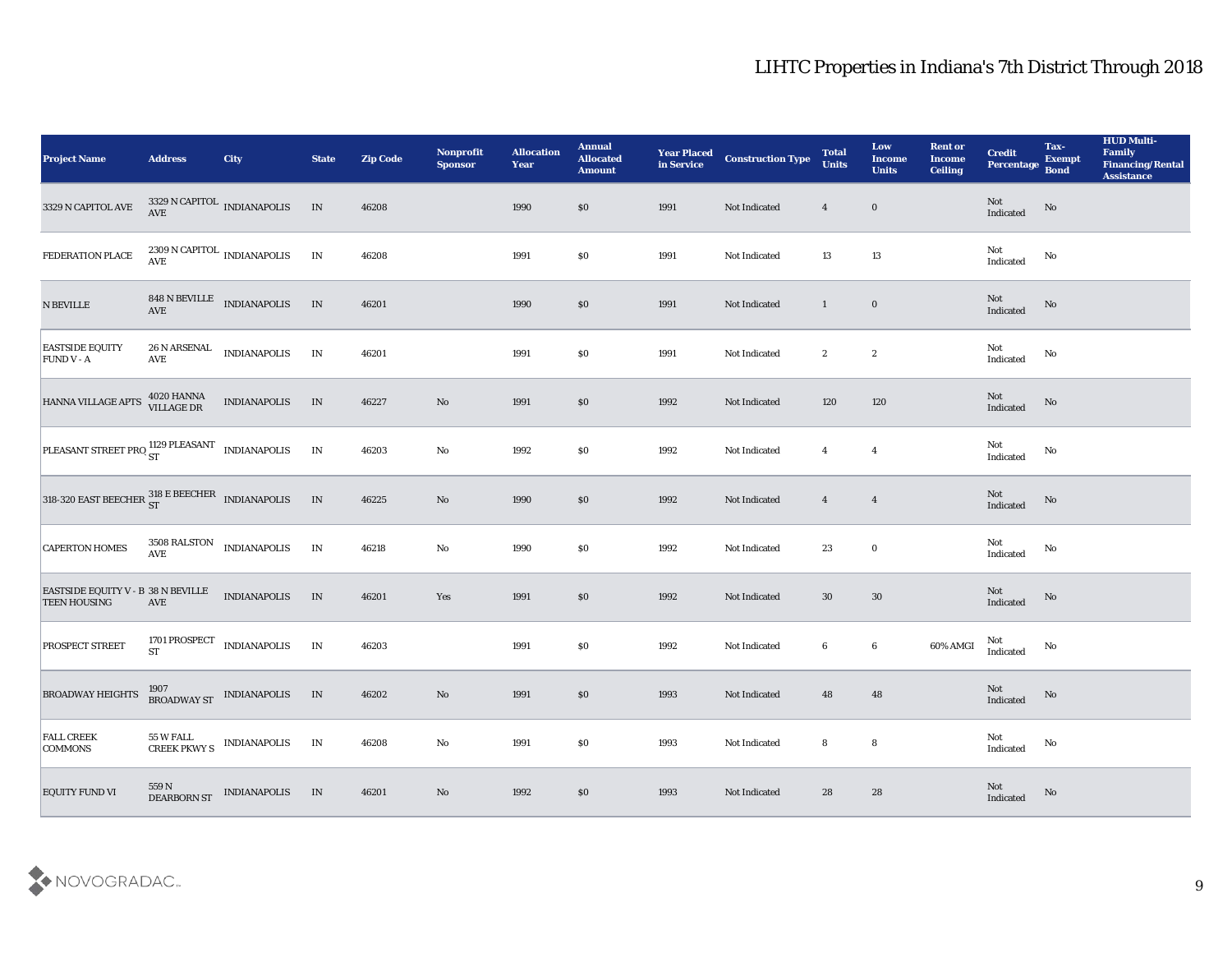| <b>Project Name</b>                                                                                                                                                             | <b>Address</b>           | <b>City</b>                                                                                                     | <b>State</b>  | <b>Zip Code</b> | Nonprofit<br><b>Sponsor</b> | <b>Allocation</b><br><b>Year</b> | <b>Annual</b><br><b>Allocated</b><br><b>Amount</b> | <b>Year Placed<br/>in Service</b> | <b>Construction Type</b> | <b>Total</b><br><b>Units</b> | Low<br><b>Income</b><br><b>Units</b> | <b>Rent or</b><br><b>Income</b><br><b>Ceiling</b> | <b>Credit</b><br>Percentage Bond  | Tax-<br><b>Exempt</b>  | <b>HUD Multi-</b><br>Family<br><b>Financing/Rental</b><br>Assistance |
|---------------------------------------------------------------------------------------------------------------------------------------------------------------------------------|--------------------------|-----------------------------------------------------------------------------------------------------------------|---------------|-----------------|-----------------------------|----------------------------------|----------------------------------------------------|-----------------------------------|--------------------------|------------------------------|--------------------------------------|---------------------------------------------------|-----------------------------------|------------------------|----------------------------------------------------------------------|
| 3329 N CAPITOL AVE                                                                                                                                                              |                          | $3329$ N CAPITOL $\;$ INDIANAPOLIS AVE                                                                          | IN            | 46208           |                             | 1990                             | \$0                                                | 1991                              | Not Indicated            | $\overline{4}$               | $\bf{0}$                             |                                                   | Not<br>Indicated                  | No                     |                                                                      |
| FEDERATION PLACE                                                                                                                                                                |                          | $2309$ N CAPITOL $\,$ INDIANAPOLIS AVE                                                                          | IN            | 46208           |                             | 1991                             | $\$0$                                              | 1991                              | Not Indicated            | 13                           | 13                                   |                                                   | Not<br>$\operatorname{Indicated}$ | No                     |                                                                      |
| ${\bf N}$ BEVILLE                                                                                                                                                               |                          | $848$ N BEVILLE $\quad$ INDIANAPOLIS AVE                                                                        | IN            | 46201           |                             | 1990                             | $\$0$                                              | 1991                              | Not Indicated            | $\mathbf{1}$                 | $\bf{0}$                             |                                                   | Not<br>Indicated                  | No                     |                                                                      |
| <b>EASTSIDE EQUITY</b><br><b>FUND V - A</b>                                                                                                                                     | 26 N ARSENAL<br>AVE      | <b>INDIANAPOLIS</b>                                                                                             | IN            | 46201           |                             | 1991                             | $\$0$                                              | 1991                              | Not Indicated            | $\boldsymbol{2}$             | $\boldsymbol{2}$                     |                                                   | Not<br>Indicated                  | $\mathbf {No}$         |                                                                      |
| HANNA VILLAGE APTS 4020 HANNA                                                                                                                                                   |                          | <b>INDIANAPOLIS</b>                                                                                             | IN            | 46227           | $\rm\thinspace No$          | 1991                             | \$0                                                | 1992                              | Not Indicated            | 120                          | 120                                  |                                                   | Not<br>Indicated                  | No                     |                                                                      |
| PLEASANT STREET PRO ST<br>T                                                                                                                                                     |                          |                                                                                                                 | $\;$ IN       | 46203           | $\mathbf {No}$              | 1992                             | \$0                                                | 1992                              | Not Indicated            | $\overline{4}$               | $\overline{4}$                       |                                                   | Not<br>Indicated                  | No                     |                                                                      |
| 318-320 EAST BEECHER $_{ST}^{318}$ E BEECHER INDIANAPOLIS                                                                                                                       |                          |                                                                                                                 | IN            | 46225           | $\rm\thinspace No$          | 1990                             | $\$0$                                              | 1992                              | Not Indicated            | $\overline{4}$               | $\overline{\mathbf{4}}$              |                                                   | Not<br>Indicated                  | No                     |                                                                      |
| <b>CAPERTON HOMES</b>                                                                                                                                                           | <b>AVE</b>               | $\begin{tabular}{ll} 3508 RALSTON & INDIANAPOLIS \\ \hline \end{tabular}$                                       | $\mathbf{IN}$ | 46218           | $\mathbf {No}$              | 1990                             | $\$0$                                              | 1992                              | Not Indicated            | 23                           | $\bf{0}$                             |                                                   | Not<br>Indicated                  | No                     |                                                                      |
| $\begin{tabular}{lcl} \multicolumn{2}{l}{{\bf EASTSIDE EQUITY\ V - B\ \ 38\ N\ BEVILLE} } \\ \multicolumn{2}{l}{\bf TEEN\ HOUSING\ \ } \\ \multicolumn{2}{l}{\bf \end{tabular}$ |                          | <b>INDIANAPOLIS</b>                                                                                             | IN            | 46201           | Yes                         | 1991                             | $\$0$                                              | 1992                              | Not Indicated            | $30\,$                       | 30                                   |                                                   | Not<br>Indicated                  | No                     |                                                                      |
| <b>PROSPECT STREET</b>                                                                                                                                                          | 1701 PROSPECT<br>ST      | <b>INDIANAPOLIS</b>                                                                                             | $\;$ IN       | 46203           |                             | 1991                             | $\$0$                                              | 1992                              | Not Indicated            | 6                            | $\bf 6$                              | $60\%$ AMGI                                       | Not<br>Indicated                  | No                     |                                                                      |
| <b>BROADWAY HEIGHTS</b>                                                                                                                                                         |                          | $\begin{tabular}{c} 1907 \\ {\bf BROADWAY~ST} \end{tabular} \begin{tabular}{l} \bf{INDIANAPOLIS} \end{tabular}$ | IN            | 46202           | $\mathbf{N}\mathbf{o}$      | 1991                             | \$0                                                | 1993                              | Not Indicated            | 48                           | 48                                   |                                                   | Not<br>Indicated                  | No                     |                                                                      |
| <b>FALL CREEK</b><br><b>COMMONS</b>                                                                                                                                             | 55 W FALL                | CREEK PKWY S INDIANAPOLIS IN                                                                                    |               | 46208           | $\rm\thinspace No$          | 1991                             | $\$0$                                              | 1993                              | Not Indicated            | 8                            | $\boldsymbol{8}$                     |                                                   | Not<br>Indicated                  | $\mathbf{N}\mathbf{o}$ |                                                                      |
| EQUITY FUND VI                                                                                                                                                                  | $559$ N $\,$ DEARBORN ST | <b>INDIANAPOLIS</b>                                                                                             | IN            | 46201           | $\rm\thinspace No$          | 1992                             | $\$0$                                              | 1993                              | Not Indicated            | 28                           | 28                                   |                                                   | Not<br>Indicated                  | $\mathbf{N}\mathbf{o}$ |                                                                      |

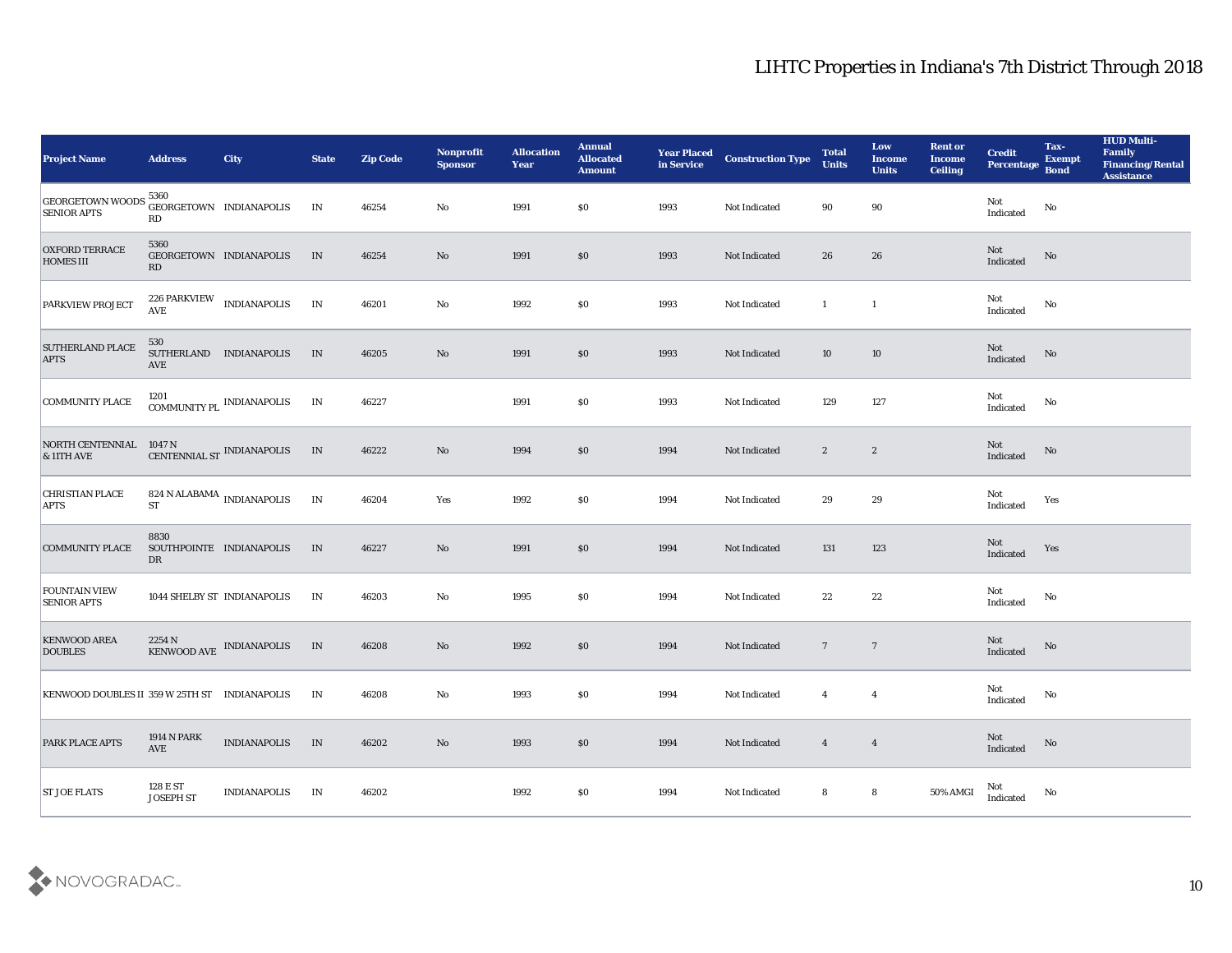| <b>Project Name</b>                                                                | <b>Address</b>                              | <b>City</b>                                          | <b>State</b> | <b>Zip Code</b> | Nonprofit<br><b>Sponsor</b> | <b>Allocation</b><br>Year | <b>Annual</b><br><b>Allocated</b><br><b>Amount</b> | <b>Year Placed</b><br>in Service | <b>Construction Type</b> | <b>Total</b><br><b>Units</b> | Low<br><b>Income</b><br><b>Units</b> | <b>Rent or</b><br><b>Income</b><br><b>Ceiling</b> | <b>Credit</b><br>Percentage                       | Tax-<br><b>Exempt</b><br><b>Bond</b> | <b>HUD Multi-</b><br>Family<br><b>Financing/Rental</b><br>Assistance |
|------------------------------------------------------------------------------------|---------------------------------------------|------------------------------------------------------|--------------|-----------------|-----------------------------|---------------------------|----------------------------------------------------|----------------------------------|--------------------------|------------------------------|--------------------------------------|---------------------------------------------------|---------------------------------------------------|--------------------------------------|----------------------------------------------------------------------|
| GEORGETOWN WOODS 5360<br>SENIOR ARTS GEORGETOWN INDIANAPOLIS<br><b>SENIOR APTS</b> | RD                                          |                                                      | IN           | 46254           | No                          | 1991                      | $\$0$                                              | 1993                             | Not Indicated            | 90                           | 90                                   |                                                   | Not<br>$\label{thm:indicated} \textbf{Indicated}$ | No                                   |                                                                      |
| <b>OXFORD TERRACE</b><br><b>HOMES III</b>                                          | 5360<br>RD                                  | GEORGETOWN INDIANAPOLIS                              | IN           | 46254           | No                          | 1991                      | \$0\$                                              | 1993                             | Not Indicated            | 26                           | 26                                   |                                                   | ${\rm Not}$ Indicated                             | No                                   |                                                                      |
| <b>PARKVIEW PROJECT</b>                                                            | <b>AVE</b>                                  | 226 PARKVIEW INDIANAPOLIS                            | IN           | 46201           | $\mathbf{N}\mathbf{o}$      | 1992                      | \$0                                                | 1993                             | Not Indicated            | $\mathbf{1}$                 | $\mathbf{1}$                         |                                                   | Not<br>Indicated                                  | No                                   |                                                                      |
| <b>SUTHERLAND PLACE</b><br><b>APTS</b>                                             | 530<br>AVE                                  | SUTHERLAND INDIANAPOLIS                              | IN           | 46205           | $\rm\thinspace No$          | 1991                      | \$0\$                                              | 1993                             | Not Indicated            | 10                           | 10                                   |                                                   | Not<br>Indicated                                  | $\rm No$                             |                                                                      |
| <b>COMMUNITY PLACE</b>                                                             |                                             | $1201$ $\,$ $\,$ COMMUNITY PL $\,$ INDIANAPOLIS $\,$ | IN           | 46227           |                             | 1991                      | \$0\$                                              | 1993                             | Not Indicated            | 129                          | 127                                  |                                                   | Not<br>Indicated                                  | No                                   |                                                                      |
| NORTH CENTENNIAL<br><b>&amp; 11TH AVE</b>                                          | $1047$ N $$\tt CENTENNIAL\,ST$ INDIANAPOLIS |                                                      | IN           | 46222           | $\rm\thinspace No$          | 1994                      | \$0\$                                              | 1994                             | Not Indicated            | $\boldsymbol{2}$             | $\boldsymbol{2}$                     |                                                   | Not<br>Indicated                                  | No                                   |                                                                      |
| <b>CHRISTIAN PLACE</b><br><b>APTS</b>                                              | <b>ST</b>                                   | $824$ N ALABAMA $\,$ INDIANAPOLIS                    | IN           | 46204           | Yes                         | 1992                      | \$0                                                | 1994                             | Not Indicated            | 29                           | 29                                   |                                                   | Not<br>Indicated                                  | Yes                                  |                                                                      |
| <b>COMMUNITY PLACE</b>                                                             | 8830<br>DR                                  | SOUTHPOINTE INDIANAPOLIS                             | IN           | 46227           | $\mathbf {No}$              | 1991                      | \$0\$                                              | 1994                             | Not Indicated            | 131                          | $123\,$                              |                                                   | Not<br>Indicated                                  | Yes                                  |                                                                      |
| <b>FOUNTAIN VIEW</b><br><b>SENIOR APTS</b>                                         |                                             | 1044 SHELBY ST INDIANAPOLIS                          | IN           | 46203           | $\rm\thinspace No$          | 1995                      | \$0\$                                              | 1994                             | Not Indicated            | 22                           | 22                                   |                                                   | Not<br>Indicated                                  | No                                   |                                                                      |
| <b>KENWOOD AREA</b><br><b>DOUBLES</b>                                              | 2254 N                                      | KENWOOD AVE INDIANAPOLIS                             | IN           | 46208           | $\mathbf {No}$              | 1992                      | \$0\$                                              | 1994                             | Not Indicated            | $\overline{7}$               | $7\phantom{.0}$                      |                                                   | Not<br>Indicated                                  | $\rm No$                             |                                                                      |
| KENWOOD DOUBLES II 359 W 25TH ST INDIANAPOLIS                                      |                                             |                                                      | IN           | 46208           | No                          | 1993                      | \$0\$                                              | 1994                             | Not Indicated            | $\overline{4}$               | $\overline{4}$                       |                                                   | Not<br>Indicated                                  | No                                   |                                                                      |
| PARK PLACE APTS                                                                    | $1914$ N $\rm PARK$<br>AVE                  | <b>INDIANAPOLIS</b>                                  | IN           | 46202           | $\rm\thinspace No$          | 1993                      | $\$0$                                              | 1994                             | Not Indicated            | $\overline{4}$               | $\overline{\mathbf{4}}$              |                                                   | $\operatorname{\bf Not}$<br>Indicated             | $\rm \bf No$                         |                                                                      |
| <b>ST JOE FLATS</b>                                                                | $128\to ST$<br><b>JOSEPH ST</b>             | <b>INDIANAPOLIS</b>                                  | IN           | 46202           |                             | 1992                      | $\$0$                                              | 1994                             | Not Indicated            | 8                            | $\boldsymbol{8}$                     | 50% AMGI                                          | Not<br>Indicated                                  | $\rm\thinspace No$                   |                                                                      |

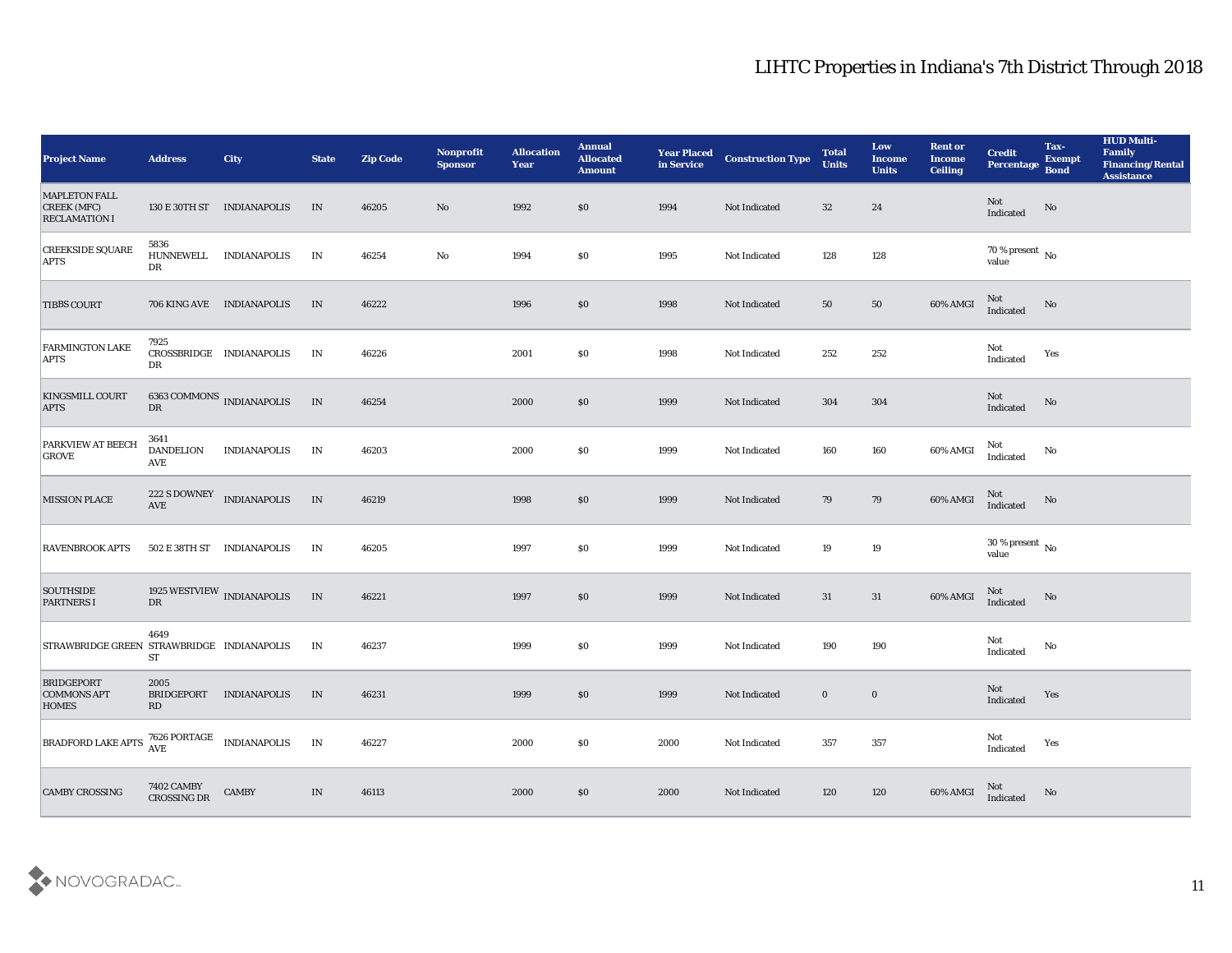| <b>Project Name</b>                                                       | <b>Address</b>                         | <b>City</b>                           | <b>State</b>                    | <b>Zip Code</b> | Nonprofit<br><b>Sponsor</b> | <b>Allocation</b><br><b>Year</b> | <b>Annual</b><br><b>Allocated</b><br><b>Amount</b> | <b>Year Placed</b><br>in Service | <b>Construction Type</b> | <b>Total</b><br><b>Units</b> | Low<br><b>Income</b><br><b>Units</b> | <b>Rent or</b><br><b>Income</b><br><b>Ceiling</b> | <b>Credit</b><br>Percentage        | Tax-<br><b>Exempt</b><br><b>Bond</b> | <b>HUD Multi-</b><br>Family<br><b>Financing/Rental</b><br>Assistance |
|---------------------------------------------------------------------------|----------------------------------------|---------------------------------------|---------------------------------|-----------------|-----------------------------|----------------------------------|----------------------------------------------------|----------------------------------|--------------------------|------------------------------|--------------------------------------|---------------------------------------------------|------------------------------------|--------------------------------------|----------------------------------------------------------------------|
| <b>MAPLETON FALL</b><br><b>CREEK (MFC)</b><br><b>RECLAMATION I</b>        |                                        | 130 E 30TH ST INDIANAPOLIS            | IN                              | 46205           | No                          | 1992                             | \$0                                                | 1994                             | Not Indicated            | 32                           | 24                                   |                                                   | Not<br>Indicated                   | No                                   |                                                                      |
| <b>CREEKSIDE SQUARE</b><br><b>APTS</b>                                    | 5836<br>HUNNEWELL<br>DR                | <b>INDIANAPOLIS</b>                   | IN                              | 46254           | No                          | 1994                             | $\$0$                                              | 1995                             | Not Indicated            | 128                          | 128                                  |                                                   | $70\,\%$ present $\,$ No value     |                                      |                                                                      |
| <b>TIBBS COURT</b>                                                        |                                        | 706 KING AVE INDIANAPOLIS             | IN                              | 46222           |                             | 1996                             | \$0                                                | 1998                             | Not Indicated            | 50                           | 50                                   | 60% AMGI                                          | <b>Not</b><br>Indicated            | No                                   |                                                                      |
| <b>FARMINGTON LAKE</b><br><b>APTS</b>                                     | 7925<br>DR                             | CROSSBRIDGE INDIANAPOLIS              | IN                              | 46226           |                             | 2001                             | \$0\$                                              | 1998                             | Not Indicated            | 252                          | 252                                  |                                                   | Not<br>Indicated                   | Yes                                  |                                                                      |
| <b>KINGSMILL COURT</b><br><b>APTS</b>                                     | ${\rm DR}$                             | $6363$ COMMONS $\,$ INDIANAPOLIS $\,$ | IN                              | 46254           |                             | 2000                             | \$0                                                | 1999                             | Not Indicated            | 304                          | 304                                  |                                                   | Not<br>Indicated                   | No                                   |                                                                      |
| <b>PARKVIEW AT BEECH</b><br>GROVE                                         | 3641<br><b>DANDELION</b><br><b>AVE</b> | <b>INDIANAPOLIS</b>                   | IN                              | 46203           |                             | 2000                             | \$0\$                                              | 1999                             | Not Indicated            | 160                          | 160                                  | 60% AMGI                                          | Not<br>Indicated                   | No                                   |                                                                      |
| <b>MISSION PLACE</b>                                                      | $\operatorname{AVE}$                   | 222 S DOWNEY INDIANAPOLIS             | IN                              | 46219           |                             | 1998                             | $\$0$                                              | 1999                             | Not Indicated            | 79                           | 79                                   | 60% AMGI                                          | Not<br>Indicated                   | No                                   |                                                                      |
| <b>RAVENBROOK APTS</b>                                                    |                                        | 502 E 38TH ST INDIANAPOLIS            | IN                              | 46205           |                             | 1997                             | \$0\$                                              | 1999                             | Not Indicated            | 19                           | 19                                   |                                                   | 30 % present $\,$ No $\,$<br>value |                                      |                                                                      |
| <b>SOUTHSIDE</b><br><b>PARTNERS I</b>                                     | DR                                     | 1925 WESTVIEW INDIANAPOLIS            | IN                              | 46221           |                             | 1997                             | \$0                                                | 1999                             | Not Indicated            | 31                           | 31                                   | 60% AMGI                                          | Not<br>Indicated                   | No                                   |                                                                      |
| STRAWBRIDGE GREEN STRAWBRIDGE INDIANAPOLIS                                | 4649<br><b>ST</b>                      |                                       | IN                              | 46237           |                             | 1999                             | \$0\$                                              | 1999                             | Not Indicated            | 190                          | 190                                  |                                                   | Not<br>$\operatorname{Indicated}$  | No                                   |                                                                      |
| <b>BRIDGEPORT</b><br><b>COMMONS APT</b><br><b>HOMES</b>                   | 2005<br><b>BRIDGEPORT</b><br>RD        | <b>INDIANAPOLIS</b>                   | IN                              | 46231           |                             | 1999                             | \$0\$                                              | 1999                             | Not Indicated            | $\bf{0}$                     | $\bf{0}$                             |                                                   | Not<br>Indicated                   | Yes                                  |                                                                      |
| BRADFORD LAKE APTS $\frac{7626 \text{ PORTAGE}}{\text{AVE}}$ INDIANAPOLIS |                                        |                                       | IN                              | 46227           |                             | 2000                             | $\$0$                                              | 2000                             | Not Indicated            | 357                          | $357\,$                              |                                                   | Not<br>Indicated                   | Yes                                  |                                                                      |
| <b>CAMBY CROSSING</b>                                                     | 7402 CAMBY<br>CROSSING DR              | <b>CAMBY</b>                          | $\ensuremath{\text{IN}}\xspace$ | 46113           |                             | 2000                             | $\$0$                                              | 2000                             | Not Indicated            | $120\,$                      | $120\,$                              | 60% AMGI                                          | Not<br>Indicated                   | No                                   |                                                                      |

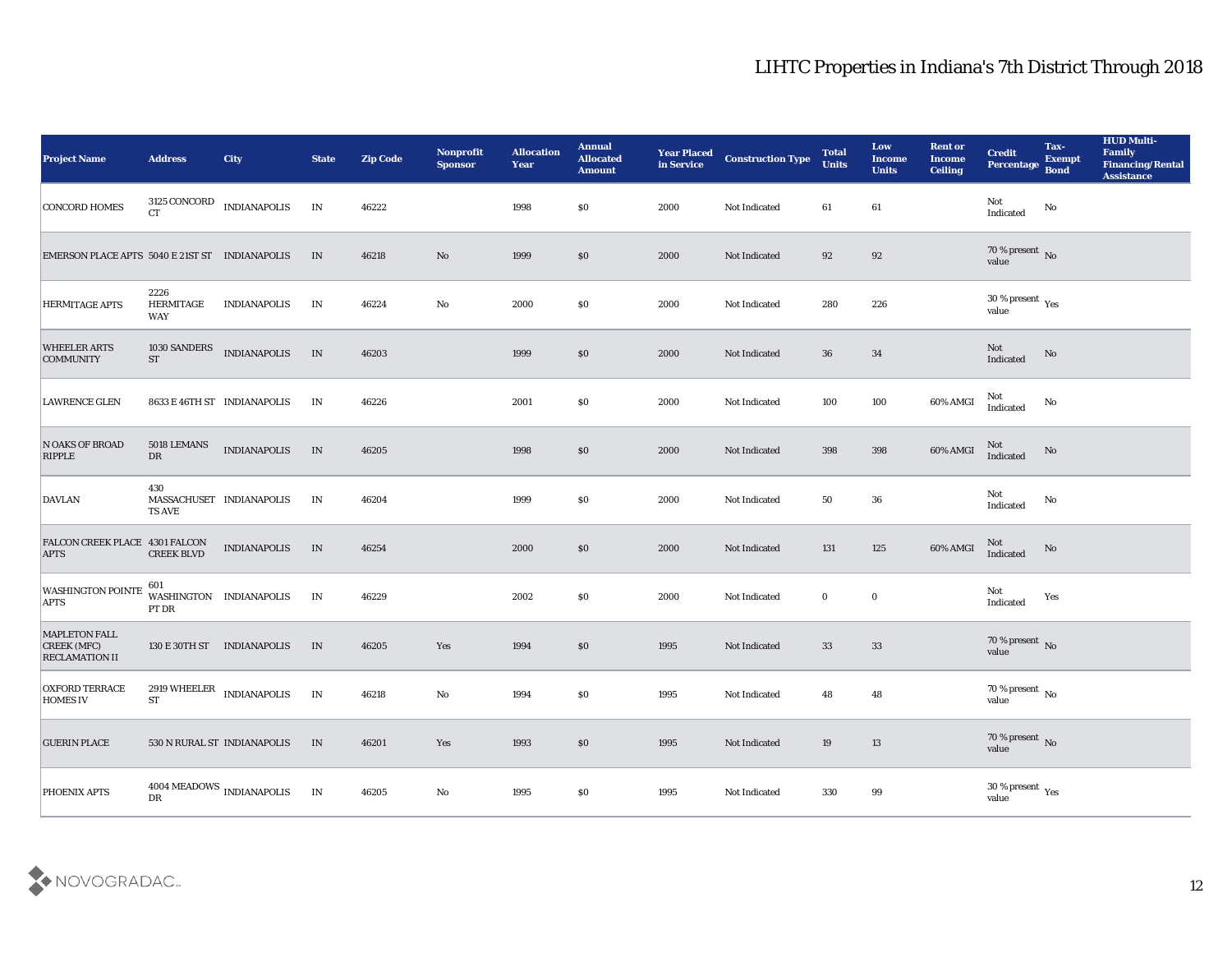| <b>Project Name</b>                                                 | <b>Address</b>                         | <b>City</b>                              | <b>State</b> | <b>Zip Code</b> | Nonprofit<br><b>Sponsor</b> | <b>Allocation</b><br><b>Year</b> | <b>Annual</b><br><b>Allocated</b><br><b>Amount</b> | <b>Year Placed</b><br>in Service | <b>Construction Type</b> | <b>Total</b><br><b>Units</b> | Low<br><b>Income</b><br><b>Units</b> | <b>Rent or</b><br><b>Income</b><br><b>Ceiling</b> | <b>Credit</b><br>Percentage                           | Tax-<br><b>Exempt</b><br><b>Bond</b> | <b>HUD Multi-</b><br>Family<br><b>Financing/Rental</b><br><b>Assistance</b> |
|---------------------------------------------------------------------|----------------------------------------|------------------------------------------|--------------|-----------------|-----------------------------|----------------------------------|----------------------------------------------------|----------------------------------|--------------------------|------------------------------|--------------------------------------|---------------------------------------------------|-------------------------------------------------------|--------------------------------------|-----------------------------------------------------------------------------|
| <b>CONCORD HOMES</b>                                                | CT                                     | $3125$ CONCORD $\quad$ INDIANAPOLIS      | IN           | 46222           |                             | 1998                             | $\$0$                                              | 2000                             | Not Indicated            | 61                           | 61                                   |                                                   | Not<br>Indicated                                      | No                                   |                                                                             |
| EMERSON PLACE APTS 5040 E 21ST ST INDIANAPOLIS                      |                                        |                                          | IN           | 46218           | No                          | 1999                             | $\$0$                                              | 2000                             | Not Indicated            | 92                           | 92                                   |                                                   | $70\,\%$ present $\,$ No value                        |                                      |                                                                             |
| <b>HERMITAGE APTS</b>                                               | 2226<br><b>HERMITAGE</b><br><b>WAY</b> | <b>INDIANAPOLIS</b>                      | IN           | 46224           | $\rm\thinspace No$          | 2000                             | \$0\$                                              | 2000                             | Not Indicated            | 280                          | 226                                  |                                                   | $30\,\%$ present $\,$ Yes value                       |                                      |                                                                             |
| <b>WHEELER ARTS</b><br><b>COMMUNITY</b>                             | 1030 SANDERS<br><b>ST</b>              | <b>INDIANAPOLIS</b>                      | IN           | 46203           |                             | 1999                             | \$0\$                                              | 2000                             | Not Indicated            | 36                           | 34                                   |                                                   | Not<br>Indicated                                      | No                                   |                                                                             |
| <b>LAWRENCE GLEN</b>                                                |                                        | 8633 E 46TH ST INDIANAPOLIS              | IN           | 46226           |                             | 2001                             | \$0\$                                              | 2000                             | Not Indicated            | 100                          | 100                                  | 60% AMGI                                          | Not<br>Indicated                                      | No                                   |                                                                             |
| N OAKS OF BROAD<br><b>RIPPLE</b>                                    | 5018 LEMANS<br>${\rm DR}$              | <b>INDIANAPOLIS</b>                      | IN           | 46205           |                             | 1998                             | $\$0$                                              | 2000                             | Not Indicated            | 398                          | 398                                  | 60% AMGI                                          | Not<br>Indicated                                      | No                                   |                                                                             |
| <b>DAVLAN</b>                                                       | 430<br><b>TS AVE</b>                   | MASSACHUSET INDIANAPOLIS                 | IN           | 46204           |                             | 1999                             | \$0\$                                              | 2000                             | Not Indicated            | 50                           | 36                                   |                                                   | Not<br>Indicated                                      | No                                   |                                                                             |
| FALCON CREEK PLACE 4301 FALCON<br><b>APTS</b>                       | <b>CREEK BLVD</b>                      | <b>INDIANAPOLIS</b>                      | IN           | 46254           |                             | 2000                             | \$0\$                                              | 2000                             | Not Indicated            | 131                          | 125                                  | 60% AMGI                                          | Not<br>Indicated                                      | No                                   |                                                                             |
| <b>WASHINGTON POINTE</b><br><b>APTS</b>                             | 601<br>PT DR                           | WASHINGTON INDIANAPOLIS                  | IN           | 46229           |                             | 2002                             | \$0\$                                              | 2000                             | Not Indicated            | $\bf{0}$                     | $\bf{0}$                             |                                                   | Not<br>Indicated                                      | Yes                                  |                                                                             |
| <b>MAPLETON FALL</b><br><b>CREEK (MFC)</b><br><b>RECLAMATION II</b> |                                        | 130 E 30TH ST INDIANAPOLIS               | IN           | 46205           | Yes                         | 1994                             | \$0\$                                              | 1995                             | Not Indicated            | 33                           | 33                                   |                                                   | $70\,\%$ present $\,$ No value                        |                                      |                                                                             |
| <b>OXFORD TERRACE</b><br><b>HOMES IV</b>                            | $\operatorname{ST}$                    | $2919\text{ WHERELER}\quad$ INDIANAPOLIS | IN           | 46218           | No                          | 1994                             | $\$0$                                              | 1995                             | Not Indicated            | 48                           | 48                                   |                                                   | $70\,\%$ present $\overline{\phantom{1}}$ No<br>value |                                      |                                                                             |
| <b>GUERIN PLACE</b>                                                 |                                        | 530 N RURAL ST INDIANAPOLIS              | $\,$ IN      | 46201           | $\mathbf{Yes}$              | 1993                             | $\$0$                                              | 1995                             | Not Indicated            | 19                           | $13\,$                               |                                                   | $70\,\%$ present $\,$ No value                        |                                      |                                                                             |
| PHOENIX APTS                                                        | $\mathbf{D}\mathbf{R}$                 | $4004\,\mbox{MEADOWS}$ INDIANAPOLIS      | IN           | 46205           | ${\bf No}$                  | 1995                             | $\$0$                                              | 1995                             | Not Indicated            | 330                          | $\bf{99}$                            |                                                   | $30\,\%$ present $\,$ Yes value                       |                                      |                                                                             |

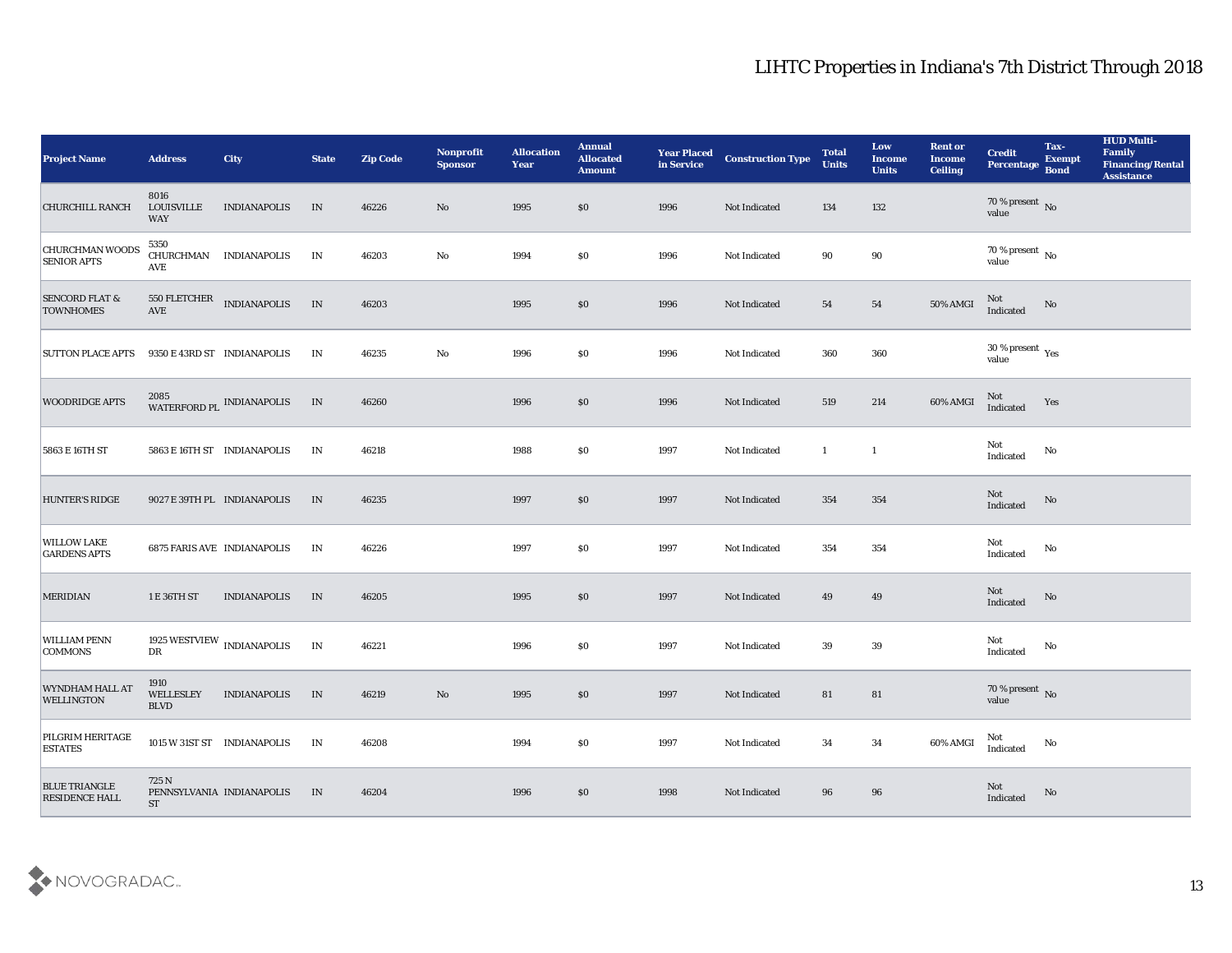| <b>Project Name</b>                           | <b>Address</b>                          | City                                | <b>State</b>  | <b>Zip Code</b> | Nonprofit<br><b>Sponsor</b> | <b>Allocation</b><br><b>Year</b> | <b>Annual</b><br><b>Allocated</b><br><b>Amount</b> | <b>Year Placed</b><br>in Service | <b>Construction Type</b> | <b>Total</b><br><b>Units</b> | Low<br><b>Income</b><br><b>Units</b> | <b>Rent or</b><br><b>Income</b><br><b>Ceiling</b> | <b>Credit</b><br>Percentage       | Tax-<br><b>Exempt</b><br><b>Bond</b> | <b>HUD Multi-</b><br>Family<br><b>Financing/Rental</b><br><b>Assistance</b> |
|-----------------------------------------------|-----------------------------------------|-------------------------------------|---------------|-----------------|-----------------------------|----------------------------------|----------------------------------------------------|----------------------------------|--------------------------|------------------------------|--------------------------------------|---------------------------------------------------|-----------------------------------|--------------------------------------|-----------------------------------------------------------------------------|
| <b>CHURCHILL RANCH</b>                        | 8016<br><b>LOUISVILLE</b><br><b>WAY</b> | <b>INDIANAPOLIS</b>                 | IN            | 46226           | No                          | 1995                             | \$0                                                | 1996                             | Not Indicated            | 134                          | 132                                  |                                                   | $70$ % present $\,$ No value      |                                      |                                                                             |
| <b>CHURCHMAN WOODS</b><br><b>SENIOR APTS</b>  | 5350<br><b>AVE</b>                      | CHURCHMAN INDIANAPOLIS              | IN            | 46203           | No                          | 1994                             | \$0                                                | 1996                             | Not Indicated            | 90                           | 90                                   |                                                   | $70\,\%$ present $\,$ No value    |                                      |                                                                             |
| <b>SENCORD FLAT &amp;</b><br><b>TOWNHOMES</b> | AVE                                     | 550 FLETCHER INDIANAPOLIS           | IN            | 46203           |                             | 1995                             | \$0                                                | 1996                             | Not Indicated            | 54                           | 54                                   | 50% AMGI                                          | Not<br>Indicated                  | No                                   |                                                                             |
| <b>SUTTON PLACE APTS</b>                      |                                         | 9350 E 43RD ST INDIANAPOLIS         | IN            | 46235           | $\mathbf{No}$               | 1996                             | \$0                                                | 1996                             | Not Indicated            | 360                          | 360                                  |                                                   | $30\,\%$ present $\,$ Yes value   |                                      |                                                                             |
| <b>WOODRIDGE APTS</b>                         |                                         | 2085<br>WATERFORD PL INDIANAPOLIS   | IN            | 46260           |                             | 1996                             | \$0                                                | 1996                             | Not Indicated            | 519                          | 214                                  | 60% AMGI                                          | Not<br>Indicated                  | Yes                                  |                                                                             |
| 5863 E 16TH ST                                |                                         | 5863 E 16TH ST INDIANAPOLIS         | IN            | 46218           |                             | 1988                             | \$0                                                | 1997                             | Not Indicated            | $\mathbf{1}$                 | $\mathbf{1}$                         |                                                   | Not<br>Indicated                  | No                                   |                                                                             |
| <b>HUNTER'S RIDGE</b>                         |                                         | 9027 E 39TH PL INDIANAPOLIS         | IN            | 46235           |                             | 1997                             | \$0                                                | 1997                             | Not Indicated            | 354                          | 354                                  |                                                   | Not<br>Indicated                  | No                                   |                                                                             |
| <b>WILLOW LAKE</b><br><b>GARDENS APTS</b>     |                                         | <b>6875 FARIS AVE INDIANAPOLIS</b>  | IN            | 46226           |                             | 1997                             | \$0                                                | 1997                             | Not Indicated            | 354                          | 354                                  |                                                   | Not<br>Indicated                  | No                                   |                                                                             |
| <b>MERIDIAN</b>                               | 1 E 36TH ST                             | <b>INDIANAPOLIS</b>                 | IN            | 46205           |                             | 1995                             | \$0                                                | 1997                             | Not Indicated            | 49                           | 49                                   |                                                   | Not<br>Indicated                  | No                                   |                                                                             |
| <b>WILLIAM PENN</b><br><b>COMMONS</b>         | ${\rm D}{\rm R}$                        | 1925 WESTVIEW $_{\rm INDIANAPOLIS}$ | $\mathbf{IN}$ | 46221           |                             | 1996                             | \$0                                                | 1997                             | Not Indicated            | 39                           | 39                                   |                                                   | Not<br>Indicated                  | No                                   |                                                                             |
| WYNDHAM HALL AT<br><b>WELLINGTON</b>          | 1910<br>WELLESLEY<br><b>BLVD</b>        | <b>INDIANAPOLIS</b>                 | IN            | 46219           | No                          | 1995                             | \$0                                                | 1997                             | Not Indicated            | 81                           | 81                                   |                                                   | $70$ % present $\,$ No $\,$ value |                                      |                                                                             |
| <b>PILGRIM HERITAGE</b><br><b>ESTATES</b>     |                                         | 1015 W 31ST ST INDIANAPOLIS         | IN            | 46208           |                             | 1994                             | $\$0$                                              | 1997                             | Not Indicated            | 34                           | 34                                   | 60% AMGI                                          | Not<br>Indicated                  | No                                   |                                                                             |
| <b>BLUE TRIANGLE</b><br><b>RESIDENCE HALL</b> | 725 N<br><b>ST</b>                      | PENNSYLVANIA INDIANAPOLIS           | IN            | 46204           |                             | 1996                             | \$0                                                | 1998                             | Not Indicated            | 96                           | 96                                   |                                                   | Not<br>Indicated                  | No                                   |                                                                             |

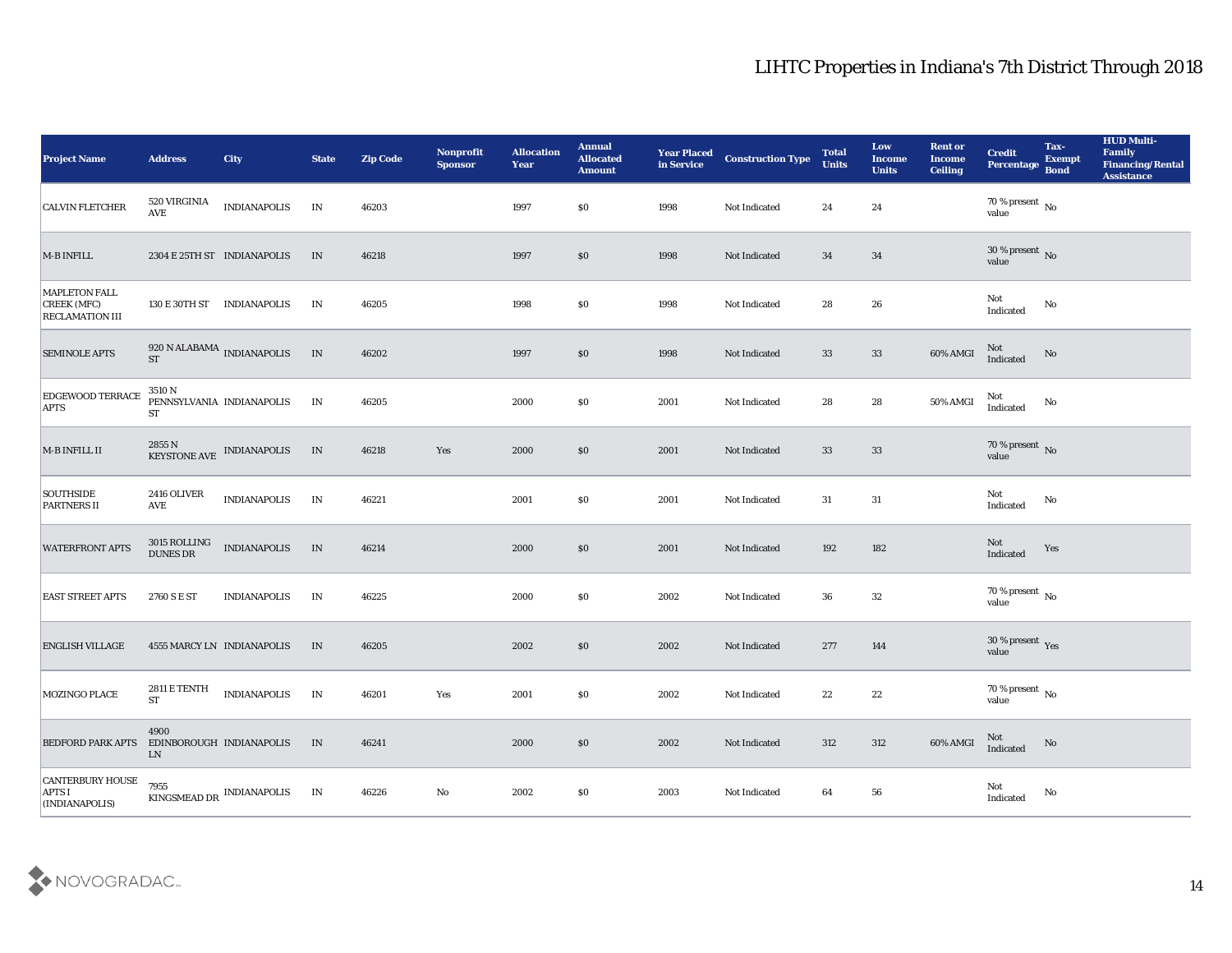| <b>Project Name</b>                                           | <b>Address</b>                                 | City                                                     | <b>State</b> | <b>Zip Code</b> | Nonprofit<br><b>Sponsor</b> | <b>Allocation</b><br><b>Year</b> | <b>Annual</b><br><b>Allocated</b><br><b>Amount</b> | <b>Year Placed</b><br>in Service | <b>Construction Type</b> | <b>Total</b><br><b>Units</b> | Low<br><b>Income</b><br><b>Units</b> | <b>Rent or</b><br><b>Income</b><br><b>Ceiling</b> | <b>Credit</b><br>Percentage       | Tax-<br><b>Exempt</b><br><b>Bond</b> | <b>HUD Multi-</b><br>Family<br><b>Financing/Rental</b><br><b>Assistance</b> |
|---------------------------------------------------------------|------------------------------------------------|----------------------------------------------------------|--------------|-----------------|-----------------------------|----------------------------------|----------------------------------------------------|----------------------------------|--------------------------|------------------------------|--------------------------------------|---------------------------------------------------|-----------------------------------|--------------------------------------|-----------------------------------------------------------------------------|
| <b>CALVIN FLETCHER</b>                                        | 520 VIRGINIA<br>$\operatorname{AVE}$           | <b>INDIANAPOLIS</b>                                      | IN           | 46203           |                             | 1997                             | $\$0$                                              | 1998                             | Not Indicated            | 24                           | 24                                   |                                                   | $70\,\%$ present $\,$ No value    |                                      |                                                                             |
| M-B INFILL                                                    |                                                | 2304 E 25TH ST INDIANAPOLIS                              | IN           | 46218           |                             | 1997                             | $\$0$                                              | 1998                             | Not Indicated            | 34                           | 34                                   |                                                   | $30\,\%$ present $\,$ No value    |                                      |                                                                             |
| MAPLETON FALL<br><b>CREEK</b> (MFC)<br><b>RECLAMATION III</b> |                                                | 130 E 30TH ST INDIANAPOLIS                               | IN           | 46205           |                             | 1998                             | \$0                                                | 1998                             | Not Indicated            | 28                           | 26                                   |                                                   | Not<br>Indicated                  | No                                   |                                                                             |
| <b>SEMINOLE APTS</b>                                          | <b>ST</b>                                      | 920 N ALABAMA INDIANAPOLIS                               | IN           | 46202           |                             | 1997                             | \$0\$                                              | 1998                             | Not Indicated            | 33                           | 33                                   | 60% AMGI                                          | Not<br>Indicated                  | No                                   |                                                                             |
| <b>EDGEWOOD TERRACE</b><br><b>APTS</b>                        | 3510 N<br><b>ST</b>                            | PENNSYLVANIA INDIANAPOLIS                                | IN           | 46205           |                             | 2000                             | \$0\$                                              | 2001                             | Not Indicated            | 28                           | 28                                   | 50% AMGI                                          | Not<br>Indicated                  | No                                   |                                                                             |
| $M$ -B INFILL II                                              |                                                | $2855$ N<br>$$\,{\rm KE}{}$ INDIANAPOLIS $$\,{\rm KE}{}$ | IN           | 46218           | Yes                         | 2000                             | $\$0$                                              | 2001                             | Not Indicated            | 33                           | 33                                   |                                                   | $70\,\%$ present $\,$ No value    |                                      |                                                                             |
| SOUTHSIDE<br><b>PARTNERS II</b>                               | 2416 OLIVER<br>AVE                             | <b>INDIANAPOLIS</b>                                      | IN           | 46221           |                             | 2001                             | \$0\$                                              | 2001                             | Not Indicated            | 31                           | 31                                   |                                                   | Not<br>$\operatorname{Indicated}$ | No                                   |                                                                             |
| <b>WATERFRONT APTS</b>                                        | $3015$ ROLLING<br><b>DUNES DR</b>              | <b>INDIANAPOLIS</b>                                      | IN           | 46214           |                             | 2000                             | \$0\$                                              | 2001                             | Not Indicated            | 192                          | 182                                  |                                                   | Not<br>Indicated                  | Yes                                  |                                                                             |
| <b>EAST STREET APTS</b>                                       | 2760 S E ST                                    | <b>INDIANAPOLIS</b>                                      | IN           | 46225           |                             | 2000                             | \$0\$                                              | 2002                             | Not Indicated            | 36                           | 32                                   |                                                   | $70\,\%$ present $\,$ No value    |                                      |                                                                             |
| <b>ENGLISH VILLAGE</b>                                        |                                                | 4555 MARCY LN INDIANAPOLIS                               | IN           | 46205           |                             | 2002                             | \$0\$                                              | 2002                             | Not Indicated            | 277                          | 144                                  |                                                   | $30\,\%$ present $\,$ Yes value   |                                      |                                                                             |
| <b>MOZINGO PLACE</b>                                          | 2811 E TENTH<br>${\cal S}{\cal T}$             | <b>INDIANAPOLIS</b>                                      | IN           | 46201           | Yes                         | 2001                             | $\$0$                                              | 2002                             | Not Indicated            | 22                           | 22                                   |                                                   | $70\,\%$ present $\,$ No value    |                                      |                                                                             |
| <b>BEDFORD PARK APTS</b>                                      | 4900<br>EDINBOROUGH INDIANAPOLIS<br>${\rm LN}$ |                                                          | IN           | 46241           |                             | 2000                             | $\$0$                                              | 2002                             | Not Indicated            | 312                          | 312                                  | 60% AMGI                                          | Not<br>Indicated                  | $\rm\thinspace No$                   |                                                                             |
| <b>CANTERBURY HOUSE</b><br><b>APTS I</b><br>(INDIANAPOLIS)    | 7955                                           | $\,$ KINGSMEAD DR $\,$ INDIANAPOLIS                      | IN           | 46226           | ${\bf No}$                  | 2002                             | $\$0$                                              | 2003                             | Not Indicated            | 64                           | ${\bf 56}$                           |                                                   | Not<br>Indicated                  | $\mathbf{N}\mathbf{o}$               |                                                                             |

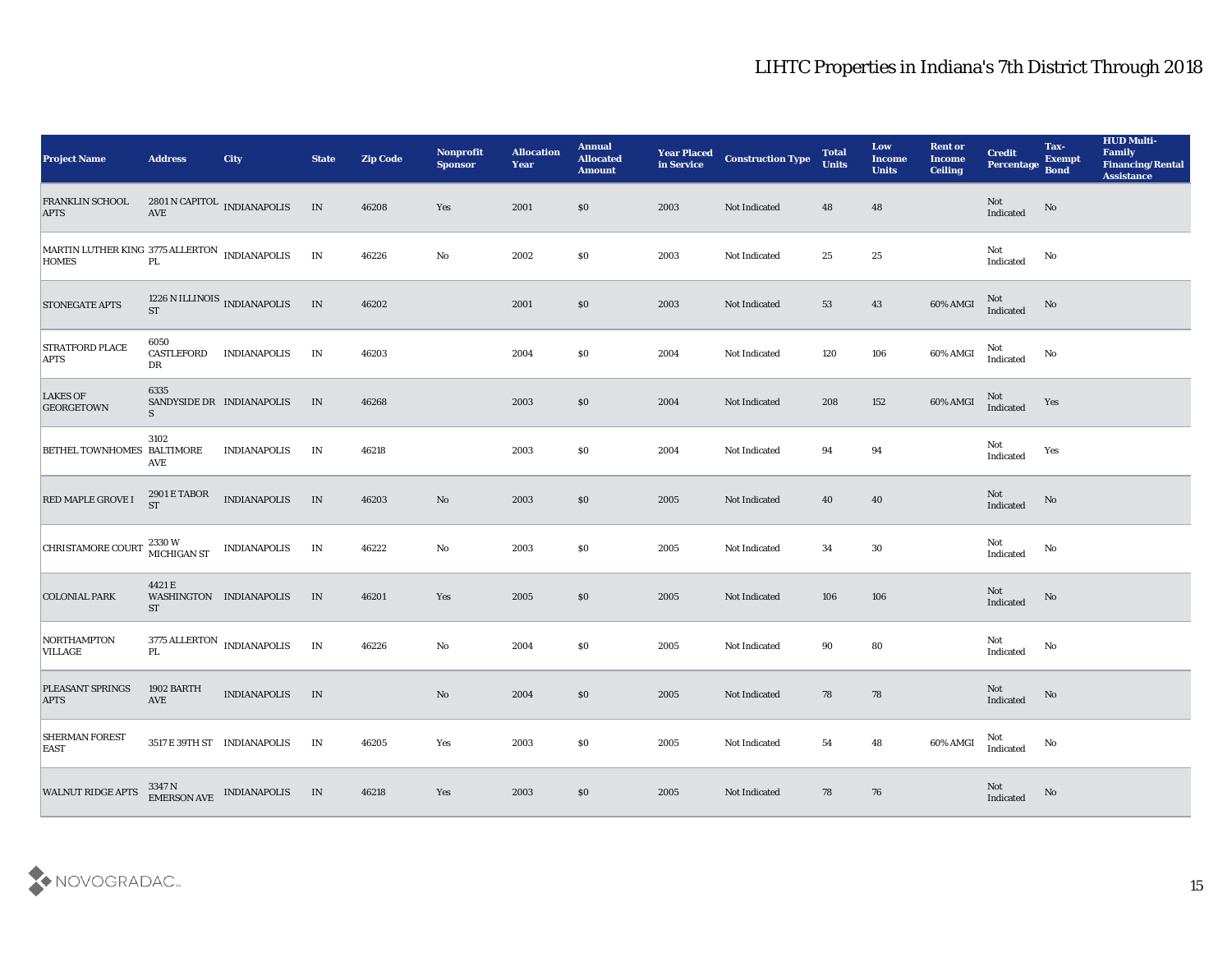| <b>Project Name</b>                                                                                                                                   | <b>Address</b>            | <b>City</b>                                                      | <b>State</b> | <b>Zip Code</b> | Nonprofit<br><b>Sponsor</b> | <b>Allocation</b><br><b>Year</b> | <b>Annual</b><br><b>Allocated</b><br><b>Amount</b> | <b>Year Placed</b><br>in Service | <b>Construction Type</b> | <b>Total</b><br><b>Units</b> | Low<br><b>Income</b><br><b>Units</b> | <b>Rent or</b><br><b>Income</b><br><b>Ceiling</b> | <b>Credit</b><br>Percentage                       | Tax-<br><b>Exempt</b><br><b>Bond</b> | <b>HUD Multi-</b><br>Family<br><b>Financing/Rental</b><br><b>Assistance</b> |
|-------------------------------------------------------------------------------------------------------------------------------------------------------|---------------------------|------------------------------------------------------------------|--------------|-----------------|-----------------------------|----------------------------------|----------------------------------------------------|----------------------------------|--------------------------|------------------------------|--------------------------------------|---------------------------------------------------|---------------------------------------------------|--------------------------------------|-----------------------------------------------------------------------------|
| <b>FRANKLIN SCHOOL</b><br><b>APTS</b>                                                                                                                 | $\operatorname{AVE}$      | 2801 N CAPITOL INDIANAPOLIS                                      | IN           | 46208           | Yes                         | 2001                             | $\$0$                                              | 2003                             | Not Indicated            | 48                           | 48                                   |                                                   | Not<br>Indicated                                  | No                                   |                                                                             |
| $\begin{array}{lll} \text{MARTIN LUTHER KING } 3775 \text{ ALLERTON} & \text{INDIANAPOLIS} \\ \text{HOMES} & \text{PL} & \end{array}$<br><b>HOMES</b> |                           |                                                                  | IN           | 46226           | No                          | 2002                             | \$0                                                | 2003                             | Not Indicated            | 25                           | 25                                   |                                                   | Not<br>Indicated                                  | No                                   |                                                                             |
| <b>STONEGATE APTS</b>                                                                                                                                 | <b>ST</b>                 | 1226 N ILLINOIS<br>INDIANAPOLIS                                  | IN           | 46202           |                             | 2001                             | \$0                                                | 2003                             | Not Indicated            | 53                           | 43                                   | $60\%$ AMGI                                       | Not<br>Indicated                                  | No                                   |                                                                             |
| <b>STRATFORD PLACE</b><br><b>APTS</b>                                                                                                                 | 6050<br>CASTLEFORD<br>DR  | <b>INDIANAPOLIS</b>                                              | IN           | 46203           |                             | 2004                             | \$0                                                | 2004                             | Not Indicated            | 120                          | 106                                  | 60% AMGI                                          | Not<br>Indicated                                  | No                                   |                                                                             |
| <b>LAKES OF</b><br><b>GEORGETOWN</b>                                                                                                                  | 6335<br>S                 | SANDYSIDE DR INDIANAPOLIS                                        | IN           | 46268           |                             | 2003                             | $\$0$                                              | 2004                             | Not Indicated            | 208                          | 152                                  | 60% AMGI                                          | Not<br>Indicated                                  | Yes                                  |                                                                             |
| BETHEL TOWNHOMES BALTIMORE                                                                                                                            | 3102<br>AVE               | <b>INDIANAPOLIS</b>                                              | IN           | 46218           |                             | 2003                             | \$0                                                | 2004                             | Not Indicated            | 94                           | 94                                   |                                                   | Not<br>Indicated                                  | Yes                                  |                                                                             |
| RED MAPLE GROVE I                                                                                                                                     | 2901 E TABOR<br><b>ST</b> | <b>INDIANAPOLIS</b>                                              | IN           | 46203           | No                          | 2003                             | \$0                                                | 2005                             | Not Indicated            | 40                           | 40                                   |                                                   | Not<br>Indicated                                  | No                                   |                                                                             |
| <b>CHRISTAMORE COURT</b>                                                                                                                              | 2330W<br>MICHIGAN ST      | <b>INDIANAPOLIS</b>                                              | IN           | 46222           | No                          | 2003                             | \$0                                                | 2005                             | Not Indicated            | 34                           | 30                                   |                                                   | Not<br>Indicated                                  | No                                   |                                                                             |
| <b>COLONIAL PARK</b>                                                                                                                                  | 4421 E<br><b>ST</b>       | WASHINGTON INDIANAPOLIS                                          | IN           | 46201           | Yes                         | 2005                             | \$0                                                | 2005                             | Not Indicated            | 106                          | 106                                  |                                                   | Not<br>Indicated                                  | No                                   |                                                                             |
| NORTHAMPTON<br><b>VILLAGE</b>                                                                                                                         | $\mathbf{P}\mathbf{L}$    | $3775\,$ ALLERTON $\,$ INDIANAPOLIS $\,$                         | $\;$ IN      | 46226           | $\mathbf{N}\mathbf{o}$      | 2004                             | \$0                                                | 2005                             | Not Indicated            | 90                           | 80                                   |                                                   | Not<br>$\operatorname{Indicated}$                 | No                                   |                                                                             |
| PLEASANT SPRINGS<br><b>APTS</b>                                                                                                                       | 1902 BARTH<br>AVE         | <b>INDIANAPOLIS</b>                                              | IN           |                 | No                          | 2004                             | \$0                                                | 2005                             | Not Indicated            | 78                           | 78                                   |                                                   | Not<br>$\label{lem:indicated} \textbf{Indicated}$ | No                                   |                                                                             |
| <b>SHERMAN FOREST</b><br><b>EAST</b>                                                                                                                  |                           | 3517 E 39TH ST INDIANAPOLIS                                      | IN           | 46205           | Yes                         | 2003                             | \$0                                                | 2005                             | Not Indicated            | 54                           | 48                                   | 60% AMGI                                          | Not<br>Indicated                                  | $\mathbf{N}\mathbf{o}$               |                                                                             |
| <b>WALNUT RIDGE APTS</b>                                                                                                                              |                           | $3347\,\mathrm{N}$ $$\rm \,IMDIANAPOLIS$$ $$\rm \,IMDIANAPOLIS$$ | IN           | 46218           | Yes                         | 2003                             | \$0                                                | 2005                             | Not Indicated            | 78                           | 76                                   |                                                   | ${\rm Not}$ Indicated                             | No                                   |                                                                             |

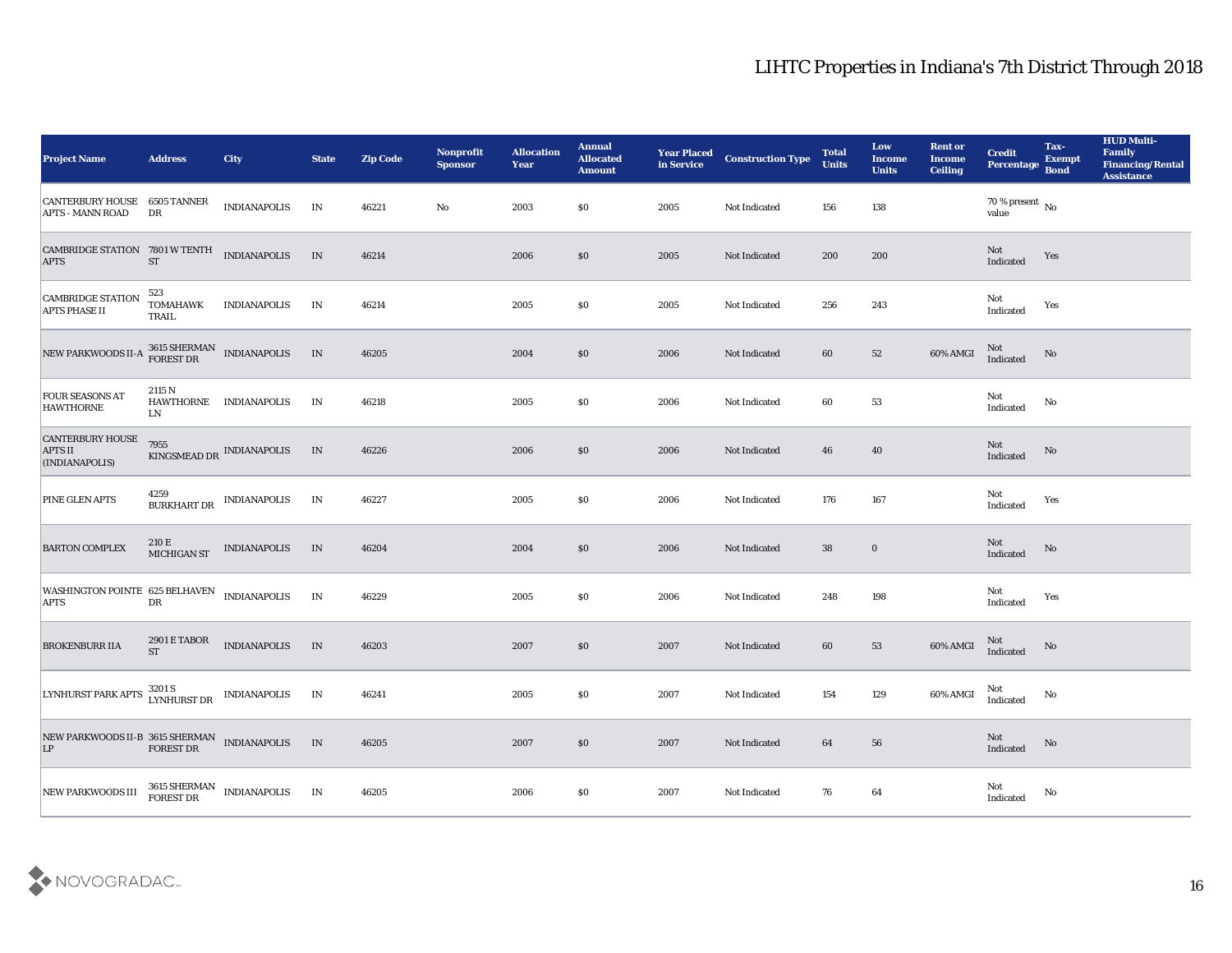| <b>Project Name</b>                                                | <b>Address</b>                   | <b>City</b>                                  | <b>State</b> | <b>Zip Code</b> | Nonprofit<br><b>Sponsor</b> | <b>Allocation</b><br><b>Year</b> | <b>Annual</b><br><b>Allocated</b><br><b>Amount</b> | <b>Year Placed</b><br>in Service | <b>Construction Type</b> | <b>Total</b><br><b>Units</b> | Low<br><b>Income</b><br><b>Units</b> | <b>Rent or</b><br><b>Income</b><br><b>Ceiling</b> | <b>Credit</b><br><b>Percentage</b>         | Tax-<br><b>Exempt</b><br><b>Bond</b> | <b>HUD Multi-</b><br>Family<br><b>Financing/Rental</b><br><b>Assistance</b> |
|--------------------------------------------------------------------|----------------------------------|----------------------------------------------|--------------|-----------------|-----------------------------|----------------------------------|----------------------------------------------------|----------------------------------|--------------------------|------------------------------|--------------------------------------|---------------------------------------------------|--------------------------------------------|--------------------------------------|-----------------------------------------------------------------------------|
| <b>CANTERBURY HOUSE 6505 TANNER</b><br><b>APTS - MANN ROAD</b>     | DR                               | <b>INDIANAPOLIS</b>                          | IN           | 46221           | No                          | 2003                             | $\$0$                                              | 2005                             | Not Indicated            | 156                          | 138                                  |                                                   | $70\,\%$ present $\,$ No $\,$<br>value     |                                      |                                                                             |
| CAMBRIDGE STATION 7801 W TENTH<br><b>APTS</b>                      | ${\cal S}{\cal T}$               | <b>INDIANAPOLIS</b>                          | IN           | 46214           |                             | 2006                             | \$0                                                | 2005                             | Not Indicated            | 200                          | 200                                  |                                                   | $\operatorname{\bf Not}$<br>Indicated      | Yes                                  |                                                                             |
| <b>CAMBRIDGE STATION</b><br><b>APTS PHASE II</b>                   | 523<br><b>TOMAHAWK</b><br>TRAIL  | <b>INDIANAPOLIS</b>                          | IN           | 46214           |                             | 2005                             | \$0                                                | 2005                             | Not Indicated            | 256                          | 243                                  |                                                   | Not<br>Indicated                           | Yes                                  |                                                                             |
| NEW PARKWOODS II-A                                                 |                                  | $3615\text{ SHERMAN}$ INDIANAPOLIS FOREST DR | IN           | 46205           |                             | 2004                             | \$0\$                                              | 2006                             | Not Indicated            | 60                           | 52                                   | 60% AMGI                                          | Not<br>Indicated                           | No                                   |                                                                             |
| <b>FOUR SEASONS AT</b><br><b>HAWTHORNE</b>                         | 2115 N<br>LN                     | HAWTHORNE INDIANAPOLIS                       | IN           | 46218           |                             | 2005                             | \$0\$                                              | 2006                             | Not Indicated            | 60                           | 53                                   |                                                   | Not<br>Indicated                           | No                                   |                                                                             |
| CANTERBURY HOUSE<br><b>APTS II</b><br>(INDIANAPOLIS)               | 7955                             | KINGSMEAD DR INDIANAPOLIS                    | IN           | 46226           |                             | 2006                             | \$0                                                | 2006                             | Not Indicated            | 46                           | 40                                   |                                                   | Not<br>Indicated                           | No                                   |                                                                             |
| <b>PINE GLEN APTS</b>                                              | 4259<br><b>BURKHART DR</b>       | <b>INDIANAPOLIS</b>                          | IN           | 46227           |                             | 2005                             | $\$0$                                              | 2006                             | Not Indicated            | 176                          | 167                                  |                                                   | Not<br>Indicated                           | Yes                                  |                                                                             |
| <b>BARTON COMPLEX</b>                                              | 210 E<br>MICHIGAN ST             | <b>INDIANAPOLIS</b>                          | IN           | 46204           |                             | 2004                             | \$0                                                | 2006                             | Not Indicated            | 38                           | $\bf{0}$                             |                                                   | <b>Not</b><br>Indicated                    | No                                   |                                                                             |
| WASHINGTON POINTE 625 BELHAVEN INDIANAPOLIS<br><b>APTS</b>         | DR                               |                                              | IN           | 46229           |                             | 2005                             | \$0\$                                              | 2006                             | Not Indicated            | 248                          | 198                                  |                                                   | Not<br>Indicated                           | Yes                                  |                                                                             |
| <b>BROKENBURR IIA</b>                                              | <b>2901 E TABOR</b><br><b>ST</b> | <b>INDIANAPOLIS</b>                          | IN           | 46203           |                             | 2007                             | \$0\$                                              | 2007                             | Not Indicated            | 60                           | 53                                   | 60% AMGI                                          | Not<br>Indicated                           | No                                   |                                                                             |
| LYNHURST PARK APTS LYNHURST DR INDIANAPOLIS                        | 3201 S                           |                                              | IN           | 46241           |                             | 2005                             | $\$0$                                              | 2007                             | Not Indicated            | 154                          | 129                                  | 60% AMGI                                          | Not<br>Indicated                           | No                                   |                                                                             |
| NEW PARKWOODS II-B 3615 SHERMAN INDIANAPOLIS LP $$\tt FOREST\,DR$$ |                                  |                                              | IN           | 46205           |                             | 2007                             | \$0                                                | 2007                             | Not Indicated            | 64                           | ${\bf 56}$                           |                                                   | Not<br>Indicated                           | $\rm\thinspace No$                   |                                                                             |
| NEW PARKWOODS III                                                  |                                  | $3615$ SHERMAN $\;$ INDIANAPOLIS FOREST DR   | IN           | 46205           |                             | 2006                             | $\$0$                                              | 2007                             | Not Indicated            | 76                           | $64\,$                               |                                                   | $\operatorname{\mathsf{Not}}$<br>Indicated | $\rm No$                             |                                                                             |

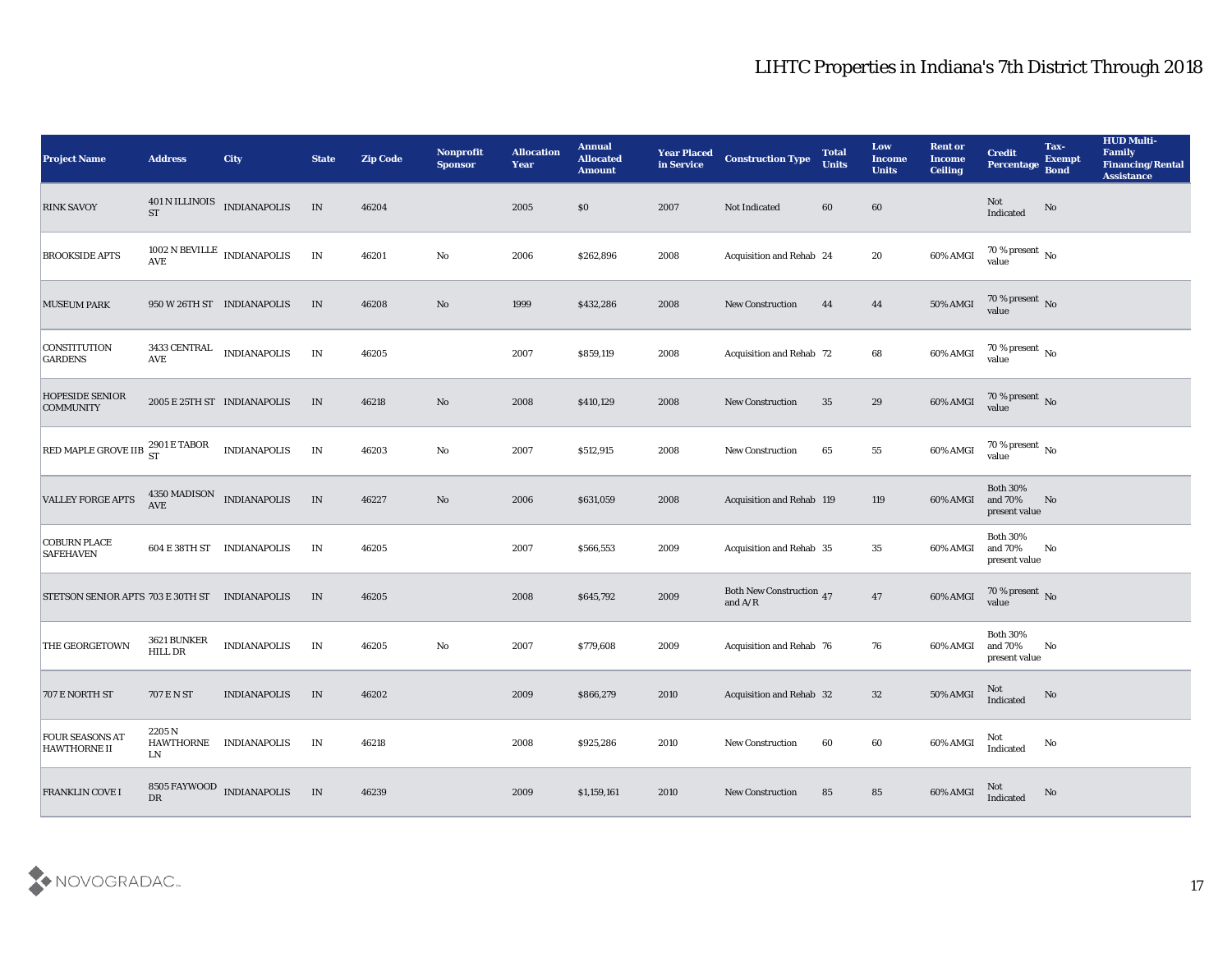| <b>Project Name</b>                            | <b>Address</b>                   | <b>City</b>                            | <b>State</b>             | <b>Zip Code</b> | Nonprofit<br><b>Sponsor</b> | <b>Allocation</b><br><b>Year</b> | <b>Annual</b><br><b>Allocated</b><br><b>Amount</b> | <b>Year Placed</b><br>in Service | <b>Construction Type</b>                                                          | <b>Total</b><br><b>Units</b> | Low<br><b>Income</b><br><b>Units</b> | <b>Rent or</b><br><b>Income</b><br><b>Ceiling</b> | <b>Credit</b><br>Percentage                 | Tax-<br><b>Exempt</b><br><b>Bond</b> | <b>HUD Multi-</b><br><b>Family</b><br><b>Financing/Rental</b><br><b>Assistance</b> |
|------------------------------------------------|----------------------------------|----------------------------------------|--------------------------|-----------------|-----------------------------|----------------------------------|----------------------------------------------------|----------------------------------|-----------------------------------------------------------------------------------|------------------------------|--------------------------------------|---------------------------------------------------|---------------------------------------------|--------------------------------------|------------------------------------------------------------------------------------|
| <b>RINK SAVOY</b>                              |                                  | $401$ N ILLINOIS $$\tt INDIANAPOLIS$$  | IN                       | 46204           |                             | 2005                             | \$0                                                | 2007                             | Not Indicated                                                                     | 60                           | 60                                   |                                                   | Not<br>Indicated                            | No                                   |                                                                                    |
| <b>BROOKSIDE APTS</b>                          |                                  | $1002$ N BEVILLE $\,$ INDIANAPOLIS AVE | $\ensuremath{\text{IN}}$ | 46201           | No                          | 2006                             | \$262,896                                          | 2008                             | Acquisition and Rehab 24                                                          |                              | 20                                   | 60% AMGI                                          | $70\,\% \,present \over 0$ No               |                                      |                                                                                    |
| <b>MUSEUM PARK</b>                             |                                  | 950 W 26TH ST INDIANAPOLIS             | IN                       | 46208           | No                          | 1999                             | \$432,286                                          | 2008                             | <b>New Construction</b>                                                           | 44                           | 44                                   | 50% AMGI                                          | $70\,\%$ present $\,$ No value              |                                      |                                                                                    |
| <b>CONSTITUTION</b><br><b>GARDENS</b>          | AVE                              | $3433$ CENTRAL $\quad$ INDIANAPOLIS    | IN                       | 46205           |                             | 2007                             | \$859,119                                          | 2008                             | <b>Acquisition and Rehab 72</b>                                                   |                              | 68                                   | 60% AMGI                                          | $70\,\%$ present $\,$ No value              |                                      |                                                                                    |
| <b>HOPESIDE SENIOR</b><br><b>COMMUNITY</b>     | 2005 E 25TH ST INDIANAPOLIS      |                                        | IN                       | 46218           | No                          | 2008                             | \$410,129                                          | 2008                             | <b>New Construction</b>                                                           | 35                           | 29                                   | 60% AMGI                                          | $70\,\%$ present $\,$ No value              |                                      |                                                                                    |
| RED MAPLE GROVE IIB $^{2901}_{\rm ST}$ E TABOR |                                  | <b>INDIANAPOLIS</b>                    | $\mathbf{IN}$            | 46203           | No                          | 2007                             | \$512,915                                          | 2008                             | <b>New Construction</b>                                                           | 65                           | 55                                   | 60% AMGI                                          | $70\,\%$ present $\,$ No value              |                                      |                                                                                    |
| <b>VALLEY FORGE APTS</b>                       | 4350 MADISON INDIANAPOLIS<br>AVE |                                        | $\;$ IN                  | 46227           | No                          | 2006                             | \$631,059                                          | 2008                             | Acquisition and Rehab 119                                                         |                              | 119                                  | 60% AMGI                                          | <b>Both 30%</b><br>and 70%<br>present value | No                                   |                                                                                    |
| <b>COBURN PLACE</b><br><b>SAFEHAVEN</b>        |                                  | 604 E 38TH ST INDIANAPOLIS             | IN                       | 46205           |                             | 2007                             | \$566,553                                          | 2009                             | <b>Acquisition and Rehab 35</b>                                                   |                              | 35                                   | 60% AMGI                                          | <b>Both 30%</b><br>and 70%<br>present value | No                                   |                                                                                    |
| STETSON SENIOR APTS 703 E 30TH ST INDIANAPOLIS |                                  |                                        | IN                       | 46205           |                             | 2008                             | \$645,792                                          | 2009                             | Both New Construction 47<br>and $\ensuremath{\mathrm{A}}/\ensuremath{\mathrm{R}}$ |                              | 47                                   | 60% AMGI                                          | $70$ % present $\,$ No value                |                                      |                                                                                    |
| THE GEORGETOWN                                 | 3621 BUNKER<br>HILL DR           | <b>INDIANAPOLIS</b>                    | IN                       | 46205           | No                          | 2007                             | \$779,608                                          | 2009                             | Acquisition and Rehab 76                                                          |                              | 76                                   | 60% AMGI                                          | <b>Both 30%</b><br>and 70%<br>present value | No                                   |                                                                                    |
| 707 E NORTH ST                                 | 707 E N ST                       | <b>INDIANAPOLIS</b>                    | IN                       | 46202           |                             | 2009                             | \$866,279                                          | 2010                             | Acquisition and Rehab 32                                                          |                              | 32                                   | <b>50% AMGI</b>                                   | Not<br>Indicated                            | No                                   |                                                                                    |
| <b>FOUR SEASONS AT</b><br><b>HAWTHORNE II</b>  | 2205 N<br>LN                     | HAWTHORNE INDIANAPOLIS                 | IN                       | 46218           |                             | 2008                             | \$925,286                                          | 2010                             | <b>New Construction</b>                                                           | 60                           | 60                                   | 60% AMGI                                          | Not<br>Indicated                            | No                                   |                                                                                    |
| <b>FRANKLIN COVE I</b>                         | DR                               | 8505 FAYWOOD INDIANAPOLIS              | IN                       | 46239           |                             | 2009                             | \$1,159,161                                        | 2010                             | <b>New Construction</b>                                                           | 85                           | 85                                   | 60% AMGI                                          | <b>Not</b><br>Indicated                     | No                                   |                                                                                    |

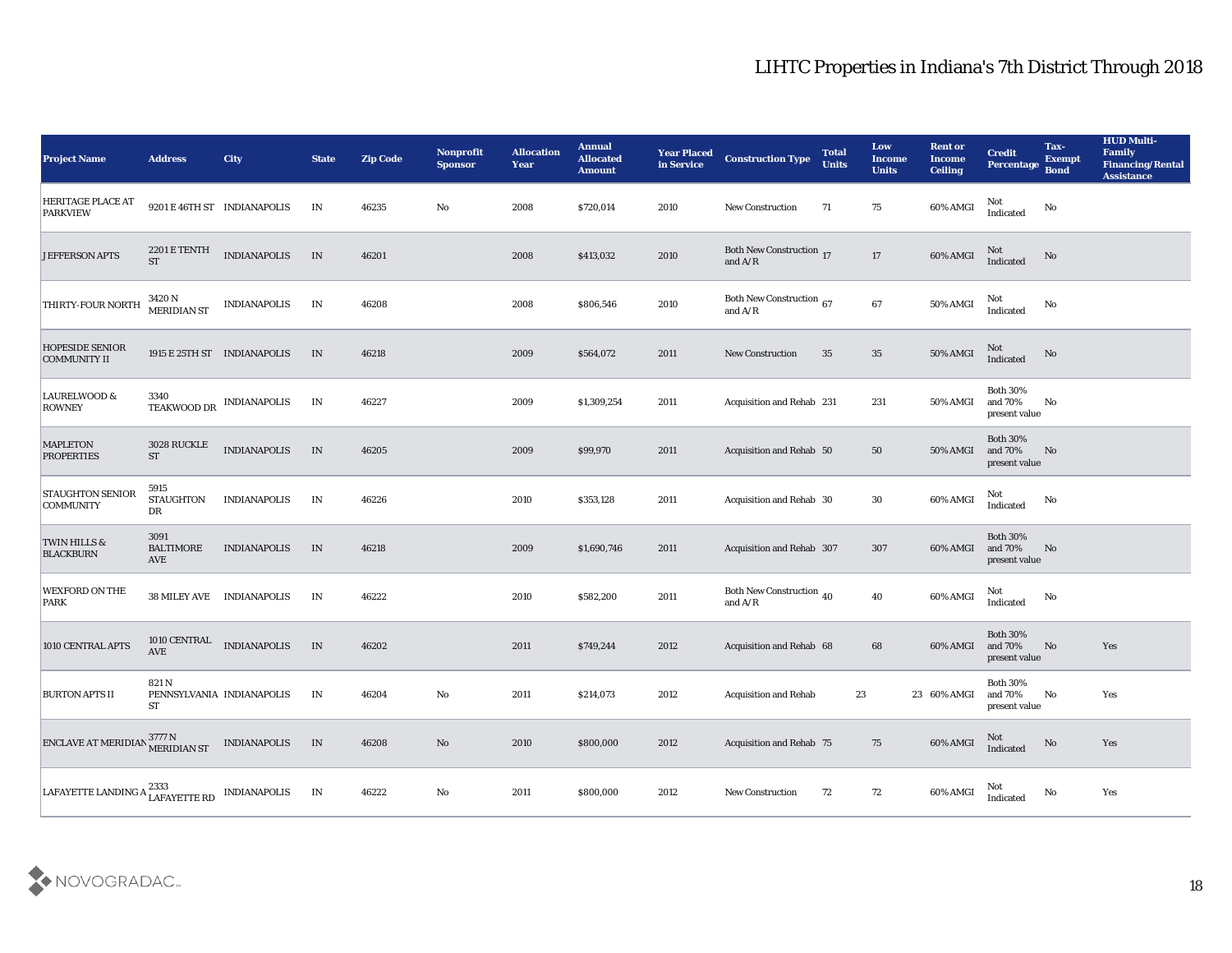| <b>Project Name</b>                                            | <b>Address</b>                    | City                        | <b>State</b> | <b>Zip Code</b> | Nonprofit<br><b>Sponsor</b> | <b>Allocation</b><br><b>Year</b> | <b>Annual</b><br><b>Allocated</b><br><b>Amount</b> | <b>Year Placed</b><br>in Service | <b>Construction Type</b>                                                                 | <b>Total</b><br><b>Units</b> | Low<br><b>Income</b><br><b>Units</b> | <b>Rent or</b><br><b>Income</b><br><b>Ceiling</b> | <b>Credit</b><br>Percentage                      | Tax-<br><b>Exempt</b><br><b>Bond</b> | <b>HUD Multi-</b><br>Family<br><b>Financing/Rental</b><br><b>Assistance</b> |
|----------------------------------------------------------------|-----------------------------------|-----------------------------|--------------|-----------------|-----------------------------|----------------------------------|----------------------------------------------------|----------------------------------|------------------------------------------------------------------------------------------|------------------------------|--------------------------------------|---------------------------------------------------|--------------------------------------------------|--------------------------------------|-----------------------------------------------------------------------------|
| <b>HERITAGE PLACE AT</b><br><b>PARKVIEW</b>                    |                                   | 9201 E 46TH ST INDIANAPOLIS | IN           | 46235           | No                          | 2008                             | \$720,014                                          | 2010                             | <b>New Construction</b>                                                                  | 71                           | 75                                   | 60% AMGI                                          | Not<br>Indicated                                 | No                                   |                                                                             |
| <b>JEFFERSON APTS</b>                                          | 2201 E TENTH<br><b>ST</b>         | <b>INDIANAPOLIS</b>         | IN           | 46201           |                             | 2008                             | \$413,032                                          | 2010                             | <b>Both New Construction</b> 17<br>and $\ensuremath{\mathrm{A}}/\ensuremath{\mathrm{R}}$ |                              | $17\,$                               | $60\%$ AMGI                                       | Not<br>Indicated                                 | No                                   |                                                                             |
| THIRTY-FOUR NORTH                                              | 3420 N<br><b>MERIDIAN ST</b>      | <b>INDIANAPOLIS</b>         | IN           | 46208           |                             | 2008                             | \$806,546                                          | 2010                             | Both New Construction 67<br>and $A/R$                                                    |                              | 67                                   | $50\%$ AMGI                                       | Not<br>Indicated                                 | No                                   |                                                                             |
| <b>HOPESIDE SENIOR</b><br><b>COMMUNITY II</b>                  |                                   | 1915 E 25TH ST INDIANAPOLIS | IN           | 46218           |                             | 2009                             | \$564,072                                          | 2011                             | <b>New Construction</b>                                                                  | 35                           | 35                                   | 50% AMGI                                          | Not<br>Indicated                                 | No                                   |                                                                             |
| <b>LAURELWOOD &amp;</b><br><b>ROWNEY</b>                       | 3340<br>TEAKWOOD DR               | <b>INDIANAPOLIS</b>         | IN           | 46227           |                             | 2009                             | \$1,309,254                                        | 2011                             | Acquisition and Rehab 231                                                                |                              | 231                                  | <b>50% AMGI</b>                                   | <b>Both 30%</b><br>and 70%<br>present value      | No                                   |                                                                             |
| <b>MAPLETON</b><br><b>PROPERTIES</b>                           | 3028 RUCKLE<br>${\cal S}{\cal T}$ | <b>INDIANAPOLIS</b>         | $\;$ IN      | 46205           |                             | 2009                             | \$99,970                                           | 2011                             | Acquisition and Rehab 50                                                                 |                              | 50                                   | <b>50% AMGI</b>                                   | <b>Both 30%</b><br>and 70%<br>present value      | No                                   |                                                                             |
| <b>STAUGHTON SENIOR</b><br><b>COMMUNITY</b>                    | 5915<br><b>STAUGHTON</b><br>DR    | <b>INDIANAPOLIS</b>         | IN           | 46226           |                             | 2010                             | \$353,128                                          | 2011                             | Acquisition and Rehab 30                                                                 |                              | 30                                   | 60% AMGI                                          | Not<br>Indicated                                 | No                                   |                                                                             |
| <b>TWIN HILLS &amp;</b><br><b>BLACKBURN</b>                    | 3091<br><b>BALTIMORE</b><br>AVE   | <b>INDIANAPOLIS</b>         | IN           | 46218           |                             | 2009                             | \$1,690,746                                        | 2011                             | Acquisition and Rehab 307                                                                |                              | 307                                  | 60% AMGI                                          | <b>Both 30%</b><br>and 70%<br>present value      | No                                   |                                                                             |
| <b>WEXFORD ON THE</b><br>PARK                                  |                                   | 38 MILEY AVE INDIANAPOLIS   | IN           | 46222           |                             | 2010                             | \$582,200                                          | 2011                             | Both New Construction 40<br>and $A/R$                                                    |                              | 40                                   | 60% AMGI                                          | Not<br>Indicated                                 | No                                   |                                                                             |
| 1010 CENTRAL APTS                                              | 1010 CENTRAL<br><b>AVE</b>        | <b>INDIANAPOLIS</b>         | IN           | 46202           |                             | 2011                             | \$749,244                                          | 2012                             | Acquisition and Rehab 68                                                                 |                              | 68                                   | 60% AMGI                                          | <b>Both 30%</b><br>and 70%<br>present value      | No                                   | Yes                                                                         |
| <b>BURTON APTS II</b>                                          | 821 N<br>ST                       | PENNSYLVANIA INDIANAPOLIS   | IN           | 46204           | No                          | 2011                             | \$214,073                                          | 2012                             | <b>Acquisition and Rehab</b>                                                             | 23                           |                                      | 23 60% AMGI                                       | <b>Both 30%</b><br>and 70%<br>$\,$ present value | No                                   | Yes                                                                         |
| ENCLAVE AT MERIDIAN 3777 N<br>MERIDIAN ST                      |                                   | <b>INDIANAPOLIS</b>         | IN           | 46208           | $\rm\thinspace No$          | 2010                             | \$800,000                                          | 2012                             | Acquisition and Rehab 75                                                                 |                              | 75                                   | 60% AMGI                                          | Not<br>Indicated                                 | $\rm No$                             | Yes                                                                         |
| LAFAYETTE LANDING A $^{2333}_{\rm LAFAYETTE\ RD}$ INDIANAPOLIS |                                   |                             | IN           | 46222           | $\mathbf {No}$              | 2011                             | \$800,000                                          | 2012                             | New Construction                                                                         | 72                           | 72                                   | 60% AMGI                                          | Not<br>Indicated                                 | $\mathbf {No}$                       | Yes                                                                         |

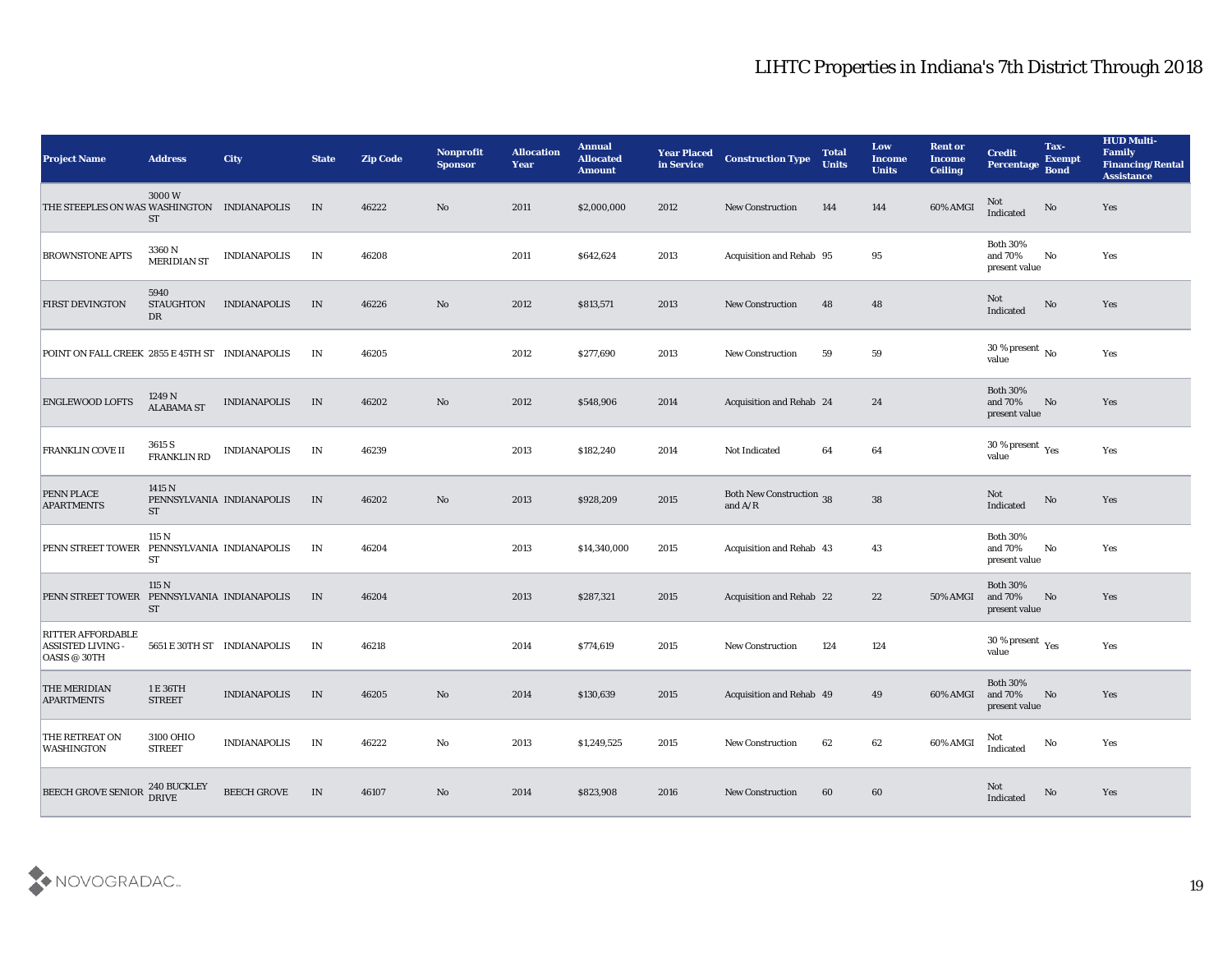| <b>Project Name</b>                                                  | <b>Address</b>                                  | <b>City</b>                 | <b>State</b> | <b>Zip Code</b> | Nonprofit<br><b>Sponsor</b> | <b>Allocation</b><br>Year | <b>Annual</b><br><b>Allocated</b><br><b>Amount</b> | <b>Year Placed</b><br>in Service | <b>Construction Type</b>                     | <b>Total</b><br><b>Units</b> | Low<br><b>Income</b><br><b>Units</b> | <b>Rent or</b><br><b>Income</b><br><b>Ceiling</b> | <b>Credit</b><br><b>Percentage</b>          | Tax-<br><b>Exempt</b><br><b>Bond</b> | <b>HUD Multi-</b><br>Family<br><b>Financing/Rental</b><br><b>Assistance</b> |
|----------------------------------------------------------------------|-------------------------------------------------|-----------------------------|--------------|-----------------|-----------------------------|---------------------------|----------------------------------------------------|----------------------------------|----------------------------------------------|------------------------------|--------------------------------------|---------------------------------------------------|---------------------------------------------|--------------------------------------|-----------------------------------------------------------------------------|
| THE STEEPLES ON WAS WASHINGTON INDIANAPOLIS                          | 3000W<br><b>ST</b>                              |                             | IN           | 46222           | No                          | 2011                      | \$2,000,000                                        | 2012                             | <b>New Construction</b>                      | 144                          | 144                                  | 60% AMGI                                          | <b>Not</b><br>Indicated                     | No                                   | Yes                                                                         |
| <b>BROWNSTONE APTS</b>                                               | 3360 N<br><b>MERIDIAN ST</b>                    | <b>INDIANAPOLIS</b>         | IN           | 46208           |                             | 2011                      | \$642,624                                          | 2013                             | Acquisition and Rehab 95                     |                              | 95                                   |                                                   | <b>Both 30%</b><br>and 70%<br>present value | No                                   | Yes                                                                         |
| <b>FIRST DEVINGTON</b>                                               | 5940<br><b>STAUGHTON</b><br>DR                  | <b>INDIANAPOLIS</b>         | IN           | 46226           | No                          | 2012                      | \$813,571                                          | 2013                             | <b>New Construction</b>                      | 48                           | 48                                   |                                                   | Not<br>Indicated                            | No                                   | Yes                                                                         |
| POINT ON FALL CREEK 2855 E 45TH ST INDIANAPOLIS                      |                                                 |                             | IN           | 46205           |                             | 2012                      | \$277,690                                          | 2013                             | <b>New Construction</b>                      | 59                           | 59                                   |                                                   | $30\,\%$ present $\,$ No $\,$<br>value      |                                      | Yes                                                                         |
| <b>ENGLEWOOD LOFTS</b>                                               | 1249 N<br><b>ALABAMA ST</b>                     | <b>INDIANAPOLIS</b>         | IN           | 46202           | No                          | 2012                      | \$548,906                                          | 2014                             | Acquisition and Rehab 24                     |                              | 24                                   |                                                   | <b>Both 30%</b><br>and 70%<br>present value | No                                   | Yes                                                                         |
| <b>FRANKLIN COVE II</b>                                              | 3615 S<br><b>FRANKLIN RD</b>                    | <b>INDIANAPOLIS</b>         | IN           | 46239           |                             | 2013                      | \$182,240                                          | 2014                             | <b>Not Indicated</b>                         | 64                           | 64                                   |                                                   | 30 % present $\rm\,Yes$<br>value            |                                      | Yes                                                                         |
| <b>PENN PLACE</b><br><b>APARTMENTS</b>                               | 1415 N<br><b>ST</b>                             | PENNSYLVANIA INDIANAPOLIS   | IN           | 46202           | No                          | 2013                      | \$928,209                                          | 2015                             | <b>Both New Construction 38</b><br>and $A/R$ |                              | ${\bf 38}$                           |                                                   | Not<br>Indicated                            | No                                   | Yes                                                                         |
| <b>PENN STREET TOWER</b>                                             | 115 N<br>PENNSYLVANIA INDIANAPOLIS<br><b>ST</b> |                             | IN           | 46204           |                             | 2013                      | \$14,340,000                                       | 2015                             | <b>Acquisition and Rehab 43</b>              |                              | 43                                   |                                                   | <b>Both 30%</b><br>and 70%<br>present value | No                                   | Yes                                                                         |
| PENN STREET TOWER                                                    | 115 N<br>PENNSYLVANIA INDIANAPOLIS<br><b>ST</b> |                             | IN           | 46204           |                             | 2013                      | \$287,321                                          | 2015                             | Acquisition and Rehab 22                     |                              | 22                                   | 50% AMGI                                          | <b>Both 30%</b><br>and 70%<br>present value | No                                   | Yes                                                                         |
| <b>RITTER AFFORDABLE</b><br><b>ASSISTED LIVING -</b><br>OASIS @ 30TH |                                                 | 5651 E 30TH ST INDIANAPOLIS | IN           | 46218           |                             | 2014                      | \$774,619                                          | 2015                             | <b>New Construction</b>                      | 124                          | 124                                  |                                                   | 30 % present $\gamma_{\rm e s}$<br>value    |                                      | Yes                                                                         |
| THE MERIDIAN<br><b>APARTMENTS</b>                                    | 1 E 36TH<br><b>STREET</b>                       | <b>INDIANAPOLIS</b>         | IN           | 46205           | No                          | 2014                      | \$130,639                                          | 2015                             | Acquisition and Rehab 49                     |                              | 49                                   | 60% AMGI                                          | <b>Both 30%</b><br>and 70%<br>present value | No                                   | Yes                                                                         |
| THE RETREAT ON<br><b>WASHINGTON</b>                                  | 3100 OHIO<br>${\small\texttt{STREF}}$           | <b>INDIANAPOLIS</b>         | IN           | 46222           | $\mathbf {No}$              | 2013                      | \$1,249,525                                        | 2015                             | <b>New Construction</b>                      | 62                           | 62                                   | 60% AMGI                                          | Not<br>Indicated                            | No                                   | Yes                                                                         |
| BEECH GROVE SENIOR                                                   | 240 BUCKLEY<br>DRIVE                            | BEECH GROVE                 | IN           | 46107           | $\mathbf {No}$              | 2014                      | \$823,908                                          | 2016                             | <b>New Construction</b>                      | 60                           | $60\,$                               |                                                   | Not<br>Indicated                            | $\mathbf {No}$                       | Yes                                                                         |